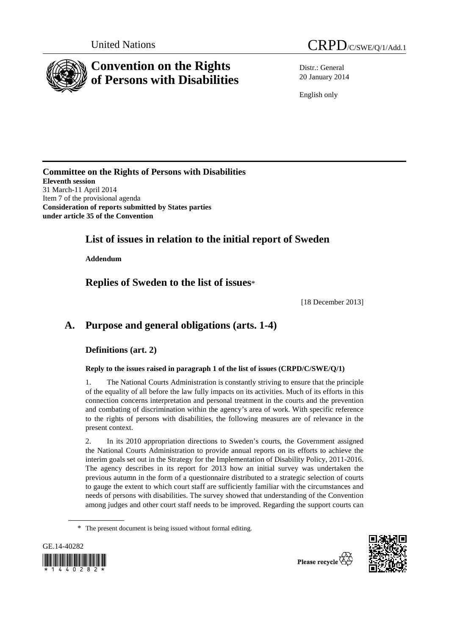

Distr.: General 20 January 2014

English only

**Committee on the Rights of Persons with Disabilities Eleventh session**  31 March-11 April 2014 Item 7 of the provisional agenda **Consideration of reports submitted by States parties under article 35 of the Convention** 

# **List of issues in relation to the initial report of Sweden**

 **Addendum** 

 **Replies of Sweden to the list of issues**\*

[18 December 2013]

# **A. Purpose and general obligations (arts. 1-4)**

 **Definitions (art. 2)** 

 **Reply to the issues raised in paragraph 1 of the list of issues (CRPD/C/SWE/Q/1)** 

1. The National Courts Administration is constantly striving to ensure that the principle of the equality of all before the law fully impacts on its activities. Much of its efforts in this connection concerns interpretation and personal treatment in the courts and the prevention and combating of discrimination within the agency's area of work. With specific reference to the rights of persons with disabilities, the following measures are of relevance in the present context.

2. In its 2010 appropriation directions to Sweden's courts, the Government assigned the National Courts Administration to provide annual reports on its efforts to achieve the interim goals set out in the Strategy for the Implementation of Disability Policy, 2011-2016. The agency describes in its report for 2013 how an initial survey was undertaken the previous autumn in the form of a questionnaire distributed to a strategic selection of courts to gauge the extent to which court staff are sufficiently familiar with the circumstances and needs of persons with disabilities. The survey showed that understanding of the Convention among judges and other court staff needs to be improved. Regarding the support courts can

<sup>\*</sup> The present document is being issued without formal editing.



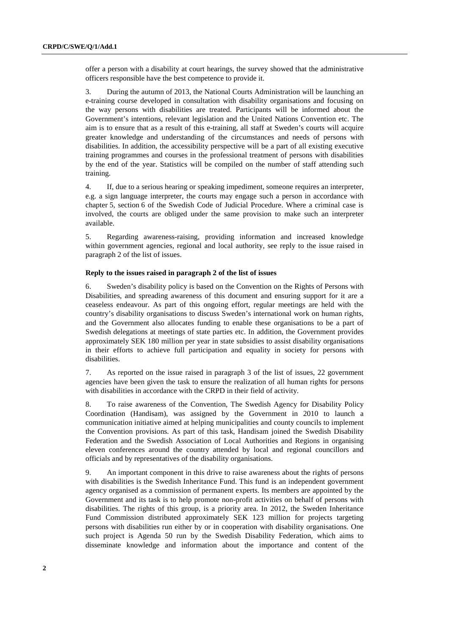offer a person with a disability at court hearings, the survey showed that the administrative officers responsible have the best competence to provide it.

3. During the autumn of 2013, the National Courts Administration will be launching an e-training course developed in consultation with disability organisations and focusing on the way persons with disabilities are treated. Participants will be informed about the Government's intentions, relevant legislation and the United Nations Convention etc. The aim is to ensure that as a result of this e-training, all staff at Sweden's courts will acquire greater knowledge and understanding of the circumstances and needs of persons with disabilities. In addition, the accessibility perspective will be a part of all existing executive training programmes and courses in the professional treatment of persons with disabilities by the end of the year. Statistics will be compiled on the number of staff attending such training.

4. If, due to a serious hearing or speaking impediment, someone requires an interpreter, e.g. a sign language interpreter, the courts may engage such a person in accordance with chapter 5, section 6 of the Swedish Code of Judicial Procedure. Where a criminal case is involved, the courts are obliged under the same provision to make such an interpreter available.

5. Regarding awareness-raising, providing information and increased knowledge within government agencies, regional and local authority, see reply to the issue raised in paragraph 2 of the list of issues.

#### **Reply to the issues raised in paragraph 2 of the list of issues**

6. Sweden's disability policy is based on the Convention on the Rights of Persons with Disabilities, and spreading awareness of this document and ensuring support for it are a ceaseless endeavour. As part of this ongoing effort, regular meetings are held with the country's disability organisations to discuss Sweden's international work on human rights, and the Government also allocates funding to enable these organisations to be a part of Swedish delegations at meetings of state parties etc. In addition, the Government provides approximately SEK 180 million per year in state subsidies to assist disability organisations in their efforts to achieve full participation and equality in society for persons with disabilities.

7. As reported on the issue raised in paragraph 3 of the list of issues, 22 government agencies have been given the task to ensure the realization of all human rights for persons with disabilities in accordance with the CRPD in their field of activity.

8. To raise awareness of the Convention, The Swedish Agency for Disability Policy Coordination (Handisam), was assigned by the Government in 2010 to launch a communication initiative aimed at helping municipalities and county councils to implement the Convention provisions. As part of this task, Handisam joined the Swedish Disability Federation and the Swedish Association of Local Authorities and Regions in organising eleven conferences around the country attended by local and regional councillors and officials and by representatives of the disability organisations.

9. An important component in this drive to raise awareness about the rights of persons with disabilities is the Swedish Inheritance Fund. This fund is an independent government agency organised as a commission of permanent experts. Its members are appointed by the Government and its task is to help promote non-profit activities on behalf of persons with disabilities. The rights of this group, is a priority area. In 2012, the Sweden Inheritance Fund Commission distributed approximately SEK 123 million for projects targeting persons with disabilities run either by or in cooperation with disability organisations. One such project is Agenda 50 run by the Swedish Disability Federation, which aims to disseminate knowledge and information about the importance and content of the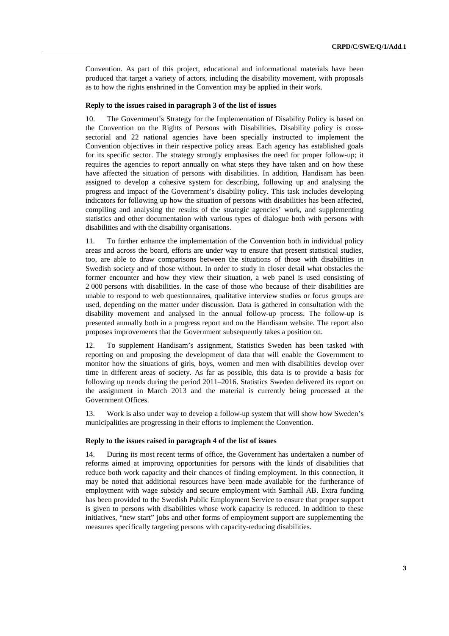Convention. As part of this project, educational and informational materials have been produced that target a variety of actors, including the disability movement, with proposals as to how the rights enshrined in the Convention may be applied in their work.

#### **Reply to the issues raised in paragraph 3 of the list of issues**

10. The Government's Strategy for the Implementation of Disability Policy is based on the Convention on the Rights of Persons with Disabilities. Disability policy is crosssectorial and 22 national agencies have been specially instructed to implement the Convention objectives in their respective policy areas. Each agency has established goals for its specific sector. The strategy strongly emphasises the need for proper follow-up; it requires the agencies to report annually on what steps they have taken and on how these have affected the situation of persons with disabilities. In addition, Handisam has been assigned to develop a cohesive system for describing, following up and analysing the progress and impact of the Government's disability policy. This task includes developing indicators for following up how the situation of persons with disabilities has been affected, compiling and analysing the results of the strategic agencies' work, and supplementing statistics and other documentation with various types of dialogue both with persons with disabilities and with the disability organisations.

11. To further enhance the implementation of the Convention both in individual policy areas and across the board, efforts are under way to ensure that present statistical studies, too, are able to draw comparisons between the situations of those with disabilities in Swedish society and of those without. In order to study in closer detail what obstacles the former encounter and how they view their situation, a web panel is used consisting of 2 000 persons with disabilities. In the case of those who because of their disabilities are unable to respond to web questionnaires, qualitative interview studies or focus groups are used, depending on the matter under discussion. Data is gathered in consultation with the disability movement and analysed in the annual follow-up process. The follow-up is presented annually both in a progress report and on the Handisam website. The report also proposes improvements that the Government subsequently takes a position on.

12. To supplement Handisam's assignment, Statistics Sweden has been tasked with reporting on and proposing the development of data that will enable the Government to monitor how the situations of girls, boys, women and men with disabilities develop over time in different areas of society. As far as possible, this data is to provide a basis for following up trends during the period 2011–2016. Statistics Sweden delivered its report on the assignment in March 2013 and the material is currently being processed at the Government Offices.

13. Work is also under way to develop a follow-up system that will show how Sweden's municipalities are progressing in their efforts to implement the Convention.

### **Reply to the issues raised in paragraph 4 of the list of issues**

14. During its most recent terms of office, the Government has undertaken a number of reforms aimed at improving opportunities for persons with the kinds of disabilities that reduce both work capacity and their chances of finding employment. In this connection, it may be noted that additional resources have been made available for the furtherance of employment with wage subsidy and secure employment with Samhall AB. Extra funding has been provided to the Swedish Public Employment Service to ensure that proper support is given to persons with disabilities whose work capacity is reduced. In addition to these initiatives, "new start" jobs and other forms of employment support are supplementing the measures specifically targeting persons with capacity-reducing disabilities.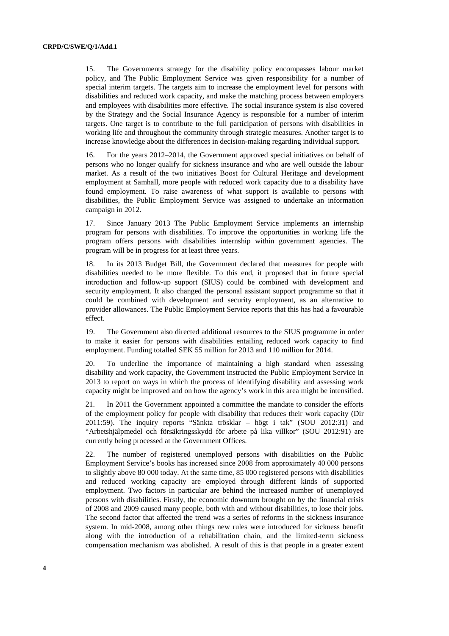15. The Governments strategy for the disability policy encompasses labour market policy, and The Public Employment Service was given responsibility for a number of special interim targets. The targets aim to increase the employment level for persons with disabilities and reduced work capacity, and make the matching process between employers and employees with disabilities more effective. The social insurance system is also covered by the Strategy and the Social Insurance Agency is responsible for a number of interim targets. One target is to contribute to the full participation of persons with disabilities in working life and throughout the community through strategic measures. Another target is to increase knowledge about the differences in decision-making regarding individual support.

16. For the years 2012–2014, the Government approved special initiatives on behalf of persons who no longer qualify for sickness insurance and who are well outside the labour market. As a result of the two initiatives Boost for Cultural Heritage and development employment at Samhall, more people with reduced work capacity due to a disability have found employment. To raise awareness of what support is available to persons with disabilities, the Public Employment Service was assigned to undertake an information campaign in 2012.

17. Since January 2013 The Public Employment Service implements an internship program for persons with disabilities. To improve the opportunities in working life the program offers persons with disabilities internship within government agencies. The program will be in progress for at least three years.

18. In its 2013 Budget Bill, the Government declared that measures for people with disabilities needed to be more flexible. To this end, it proposed that in future special introduction and follow-up support (SIUS) could be combined with development and security employment. It also changed the personal assistant support programme so that it could be combined with development and security employment, as an alternative to provider allowances. The Public Employment Service reports that this has had a favourable effect.

19. The Government also directed additional resources to the SIUS programme in order to make it easier for persons with disabilities entailing reduced work capacity to find employment. Funding totalled SEK 55 million for 2013 and 110 million for 2014.

20. To underline the importance of maintaining a high standard when assessing disability and work capacity, the Government instructed the Public Employment Service in 2013 to report on ways in which the process of identifying disability and assessing work capacity might be improved and on how the agency's work in this area might be intensified.

21. In 2011 the Government appointed a committee the mandate to consider the efforts of the employment policy for people with disability that reduces their work capacity (Dir 2011:59). The inquiry reports "Sänkta trösklar – högt i tak" (SOU 2012:31) and "Arbetshjälpmedel och försäkringsskydd för arbete på lika villkor" (SOU 2012:91) are currently being processed at the Government Offices.

22. The number of registered unemployed persons with disabilities on the Public Employment Service's books has increased since 2008 from approximately 40 000 persons to slightly above 80 000 today. At the same time, 85 000 registered persons with disabilities and reduced working capacity are employed through different kinds of supported employment. Two factors in particular are behind the increased number of unemployed persons with disabilities. Firstly, the economic downturn brought on by the financial crisis of 2008 and 2009 caused many people, both with and without disabilities, to lose their jobs. The second factor that affected the trend was a series of reforms in the sickness insurance system. In mid-2008, among other things new rules were introduced for sickness benefit along with the introduction of a rehabilitation chain, and the limited-term sickness compensation mechanism was abolished. A result of this is that people in a greater extent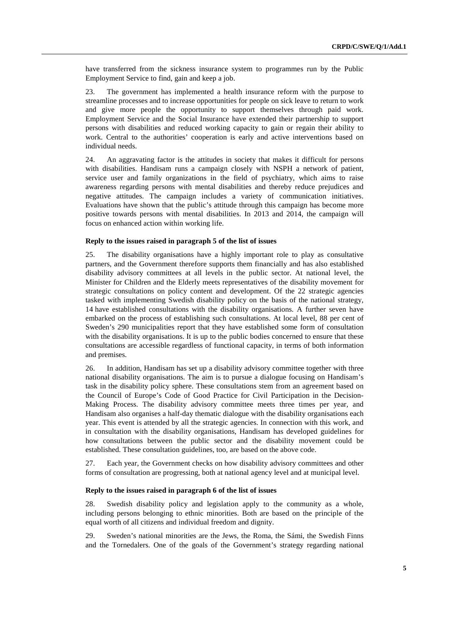have transferred from the sickness insurance system to programmes run by the Public Employment Service to find, gain and keep a job.

23. The government has implemented a health insurance reform with the purpose to streamline processes and to increase opportunities for people on sick leave to return to work and give more people the opportunity to support themselves through paid work. Employment Service and the Social Insurance have extended their partnership to support persons with disabilities and reduced working capacity to gain or regain their ability to work. Central to the authorities' cooperation is early and active interventions based on individual needs.

24. An aggravating factor is the attitudes in society that makes it difficult for persons with disabilities. Handisam runs a campaign closely with NSPH a network of patient, service user and family organizations in the field of psychiatry, which aims to raise awareness regarding persons with mental disabilities and thereby reduce prejudices and negative attitudes. The campaign includes a variety of communication initiatives. Evaluations have shown that the public's attitude through this campaign has become more positive towards persons with mental disabilities. In 2013 and 2014, the campaign will focus on enhanced action within working life.

#### **Reply to the issues raised in paragraph 5 of the list of issues**

25. The disability organisations have a highly important role to play as consultative partners, and the Government therefore supports them financially and has also established disability advisory committees at all levels in the public sector. At national level, the Minister for Children and the Elderly meets representatives of the disability movement for strategic consultations on policy content and development. Of the 22 strategic agencies tasked with implementing Swedish disability policy on the basis of the national strategy, 14 have established consultations with the disability organisations. A further seven have embarked on the process of establishing such consultations. At local level, 88 per cent of Sweden's 290 municipalities report that they have established some form of consultation with the disability organisations. It is up to the public bodies concerned to ensure that these consultations are accessible regardless of functional capacity, in terms of both information and premises.

26. In addition, Handisam has set up a disability advisory committee together with three national disability organisations. The aim is to pursue a dialogue focusing on Handisam's task in the disability policy sphere. These consultations stem from an agreement based on the Council of Europe's Code of Good Practice for Civil Participation in the Decision-Making Process. The disability advisory committee meets three times per year, and Handisam also organises a half-day thematic dialogue with the disability organisations each year. This event is attended by all the strategic agencies. In connection with this work, and in consultation with the disability organisations, Handisam has developed guidelines for how consultations between the public sector and the disability movement could be established. These consultation guidelines, too, are based on the above code.

27. Each year, the Government checks on how disability advisory committees and other forms of consultation are progressing, both at national agency level and at municipal level.

### **Reply to the issues raised in paragraph 6 of the list of issues**

28. Swedish disability policy and legislation apply to the community as a whole, including persons belonging to ethnic minorities. Both are based on the principle of the equal worth of all citizens and individual freedom and dignity.

29. Sweden's national minorities are the Jews, the Roma, the Sámi, the Swedish Finns and the Tornedalers. One of the goals of the Government's strategy regarding national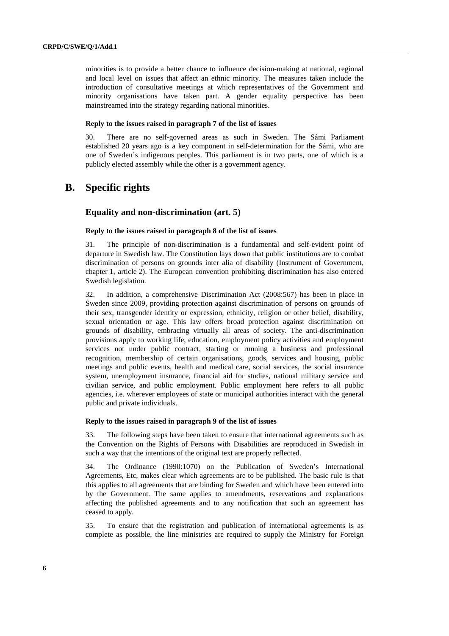minorities is to provide a better chance to influence decision-making at national, regional and local level on issues that affect an ethnic minority. The measures taken include the introduction of consultative meetings at which representatives of the Government and minority organisations have taken part. A gender equality perspective has been mainstreamed into the strategy regarding national minorities.

## **Reply to the issues raised in paragraph 7 of the list of issues**

30. There are no self-governed areas as such in Sweden. The Sámi Parliament established 20 years ago is a key component in self-determination for the Sámi, who are one of Sweden's indigenous peoples. This parliament is in two parts, one of which is a publicly elected assembly while the other is a government agency.

# **B. Specific rights**

# **Equality and non-discrimination (art. 5)**

#### **Reply to the issues raised in paragraph 8 of the list of issues**

31. The principle of non-discrimination is a fundamental and self-evident point of departure in Swedish law. The Constitution lays down that public institutions are to combat discrimination of persons on grounds inter alia of disability (Instrument of Government, chapter 1, article 2). The European convention prohibiting discrimination has also entered Swedish legislation.

32. In addition, a comprehensive Discrimination Act (2008:567) has been in place in Sweden since 2009, providing protection against discrimination of persons on grounds of their sex, transgender identity or expression, ethnicity, religion or other belief, disability, sexual orientation or age. This law offers broad protection against discrimination on grounds of disability, embracing virtually all areas of society. The anti-discrimination provisions apply to working life, education, employment policy activities and employment services not under public contract, starting or running a business and professional recognition, membership of certain organisations, goods, services and housing, public meetings and public events, health and medical care, social services, the social insurance system, unemployment insurance, financial aid for studies, national military service and civilian service, and public employment. Public employment here refers to all public agencies, i.e. wherever employees of state or municipal authorities interact with the general public and private individuals.

#### **Reply to the issues raised in paragraph 9 of the list of issues**

33. The following steps have been taken to ensure that international agreements such as the Convention on the Rights of Persons with Disabilities are reproduced in Swedish in such a way that the intentions of the original text are properly reflected.

34. The Ordinance (1990:1070) on the Publication of Sweden's International Agreements, Etc, makes clear which agreements are to be published. The basic rule is that this applies to all agreements that are binding for Sweden and which have been entered into by the Government. The same applies to amendments, reservations and explanations affecting the published agreements and to any notification that such an agreement has ceased to apply.

35. To ensure that the registration and publication of international agreements is as complete as possible, the line ministries are required to supply the Ministry for Foreign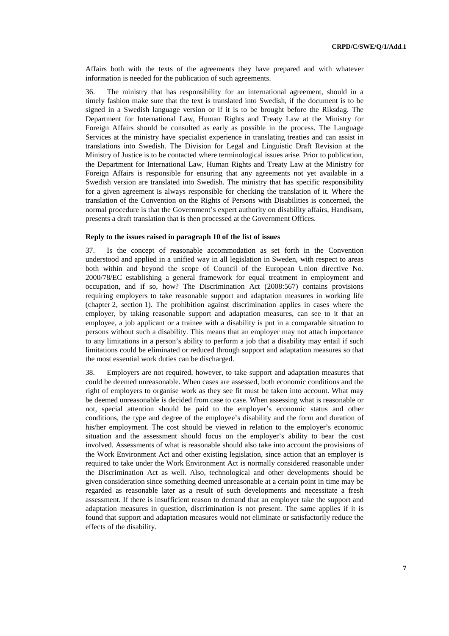Affairs both with the texts of the agreements they have prepared and with whatever information is needed for the publication of such agreements.

36. The ministry that has responsibility for an international agreement, should in a timely fashion make sure that the text is translated into Swedish, if the document is to be signed in a Swedish language version or if it is to be brought before the Riksdag. The Department for International Law, Human Rights and Treaty Law at the Ministry for Foreign Affairs should be consulted as early as possible in the process. The Language Services at the ministry have specialist experience in translating treaties and can assist in translations into Swedish. The Division for Legal and Linguistic Draft Revision at the Ministry of Justice is to be contacted where terminological issues arise. Prior to publication, the Department for International Law, Human Rights and Treaty Law at the Ministry for Foreign Affairs is responsible for ensuring that any agreements not yet available in a Swedish version are translated into Swedish. The ministry that has specific responsibility for a given agreement is always responsible for checking the translation of it. Where the translation of the Convention on the Rights of Persons with Disabilities is concerned, the normal procedure is that the Government's expert authority on disability affairs, Handisam, presents a draft translation that is then processed at the Government Offices.

### **Reply to the issues raised in paragraph 10 of the list of issues**

37. Is the concept of reasonable accommodation as set forth in the Convention understood and applied in a unified way in all legislation in Sweden, with respect to areas both within and beyond the scope of Council of the European Union directive No. 2000/78/EC establishing a general framework for equal treatment in employment and occupation, and if so, how? The Discrimination Act (2008:567) contains provisions requiring employers to take reasonable support and adaptation measures in working life (chapter 2, section 1). The prohibition against discrimination applies in cases where the employer, by taking reasonable support and adaptation measures, can see to it that an employee, a job applicant or a trainee with a disability is put in a comparable situation to persons without such a disability. This means that an employer may not attach importance to any limitations in a person's ability to perform a job that a disability may entail if such limitations could be eliminated or reduced through support and adaptation measures so that the most essential work duties can be discharged.

38. Employers are not required, however, to take support and adaptation measures that could be deemed unreasonable. When cases are assessed, both economic conditions and the right of employers to organise work as they see fit must be taken into account. What may be deemed unreasonable is decided from case to case. When assessing what is reasonable or not, special attention should be paid to the employer's economic status and other conditions, the type and degree of the employee's disability and the form and duration of his/her employment. The cost should be viewed in relation to the employer's economic situation and the assessment should focus on the employer's ability to bear the cost involved. Assessments of what is reasonable should also take into account the provisions of the Work Environment Act and other existing legislation, since action that an employer is required to take under the Work Environment Act is normally considered reasonable under the Discrimination Act as well. Also, technological and other developments should be given consideration since something deemed unreasonable at a certain point in time may be regarded as reasonable later as a result of such developments and necessitate a fresh assessment. If there is insufficient reason to demand that an employer take the support and adaptation measures in question, discrimination is not present. The same applies if it is found that support and adaptation measures would not eliminate or satisfactorily reduce the effects of the disability.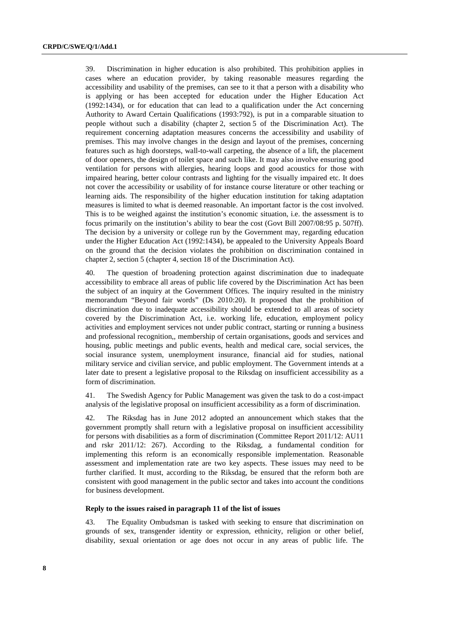39. Discrimination in higher education is also prohibited. This prohibition applies in cases where an education provider, by taking reasonable measures regarding the accessibility and usability of the premises, can see to it that a person with a disability who is applying or has been accepted for education under the Higher Education Act (1992:1434), or for education that can lead to a qualification under the Act concerning Authority to Award Certain Qualifications (1993:792), is put in a comparable situation to people without such a disability (chapter 2, section 5 of the Discrimination Act). The requirement concerning adaptation measures concerns the accessibility and usability of premises. This may involve changes in the design and layout of the premises, concerning features such as high doorsteps, wall-to-wall carpeting, the absence of a lift, the placement of door openers, the design of toilet space and such like. It may also involve ensuring good ventilation for persons with allergies, hearing loops and good acoustics for those with impaired hearing, better colour contrasts and lighting for the visually impaired etc. It does not cover the accessibility or usability of for instance course literature or other teaching or learning aids. The responsibility of the higher education institution for taking adaptation measures is limited to what is deemed reasonable. An important factor is the cost involved. This is to be weighed against the institution's economic situation, i.e. the assessment is to focus primarily on the institution's ability to bear the cost (Govt Bill 2007/08:95 p. 507ff). The decision by a university or college run by the Government may, regarding education under the Higher Education Act (1992:1434), be appealed to the University Appeals Board on the ground that the decision violates the prohibition on discrimination contained in chapter 2, section 5 (chapter 4, section 18 of the Discrimination Act).

40. The question of broadening protection against discrimination due to inadequate accessibility to embrace all areas of public life covered by the Discrimination Act has been the subject of an inquiry at the Government Offices. The inquiry resulted in the ministry memorandum "Beyond fair words" (Ds 2010:20). It proposed that the prohibition of discrimination due to inadequate accessibility should be extended to all areas of society covered by the Discrimination Act, i.e. working life, education, employment policy activities and employment services not under public contract, starting or running a business and professional recognition,, membership of certain organisations, goods and services and housing, public meetings and public events, health and medical care, social services, the social insurance system, unemployment insurance, financial aid for studies, national military service and civilian service, and public employment. The Government intends at a later date to present a legislative proposal to the Riksdag on insufficient accessibility as a form of discrimination.

41. The Swedish Agency for Public Management was given the task to do a cost-impact analysis of the legislative proposal on insufficient accessibility as a form of discrimination.

42. The Riksdag has in June 2012 adopted an announcement which stakes that the government promptly shall return with a legislative proposal on insufficient accessibility for persons with disabilities as a form of discrimination (Committee Report 2011/12: AU11 and rskr 2011/12: 267). According to the Riksdag, a fundamental condition for implementing this reform is an economically responsible implementation. Reasonable assessment and implementation rate are two key aspects. These issues may need to be further clarified. It must, according to the Riksdag, be ensured that the reform both are consistent with good management in the public sector and takes into account the conditions for business development.

# **Reply to the issues raised in paragraph 11 of the list of issues**

43. The Equality Ombudsman is tasked with seeking to ensure that discrimination on grounds of sex, transgender identity or expression, ethnicity, religion or other belief, disability, sexual orientation or age does not occur in any areas of public life. The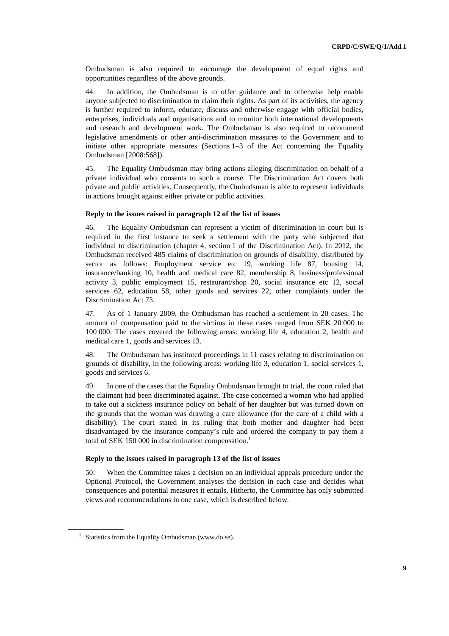Ombudsman is also required to encourage the development of equal rights and opportunities regardless of the above grounds.

44. In addition, the Ombudsman is to offer guidance and to otherwise help enable anyone subjected to discrimination to claim their rights. As part of its activities, the agency is further required to inform, educate, discuss and otherwise engage with official bodies, enterprises, individuals and organisations and to monitor both international developments and research and development work. The Ombudsman is also required to recommend legislative amendments or other anti-discrimination measures to the Government and to initiate other appropriate measures (Sections 1–3 of the Act concerning the Equality Ombudsman [2008:568]).

45. The Equality Ombudsman may bring actions alleging discrimination on behalf of a private individual who consents to such a course. The Discrimination Act covers both private and public activities. Consequently, the Ombudsman is able to represent individuals in actions brought against either private or public activities.

#### **Reply to the issues raised in paragraph 12 of the list of issues**

46. The Equality Ombudsman can represent a victim of discrimination in court but is required in the first instance to seek a settlement with the party who subjected that individual to discrimination (chapter 4, section 1 of the Discrimination Act). In 2012, the Ombudsman received 485 claims of discrimination on grounds of disability, distributed by sector as follows: Employment service etc 19, working life 87, housing 14, insurance/banking 10, health and medical care 82, membership 8, business/professional activity 3, public employment 15, restaurant/shop 20, social insurance etc 12, social services 62, education 58, other goods and services 22, other complaints under the Discrimination Act 73.

47. As of 1 January 2009, the Ombudsman has reached a settlement in 20 cases. The amount of compensation paid to the victims in these cases ranged from SEK 20 000 to 100 000. The cases covered the following areas: working life 4, education 2, health and medical care 1, goods and services 13.

48. The Ombudsman has instituted proceedings in 11 cases relating to discrimination on grounds of disability, in the following areas: working life 3, education 1, social services 1, goods and services 6.

49. In one of the cases that the Equality Ombudsman brought to trial, the court ruled that the claimant had been discriminated against. The case concerned a woman who had applied to take out a sickness insurance policy on behalf of her daughter but was turned down on the grounds that the woman was drawing a care allowance (for the care of a child with a disability). The court stated in its ruling that both mother and daughter had been disadvantaged by the insurance company's rule and ordered the company to pay them a total of SEK 150 000 in discrimination compensation.<sup>1</sup>

#### **Reply to the issues raised in paragraph 13 of the list of issues**

50. When the Committee takes a decision on an individual appeals procedure under the Optional Protocol, the Government analyses the decision in each case and decides what consequences and potential measures it entails. Hitherto, the Committee has only submitted views and recommendations in one case, which is described below.

<sup>&</sup>lt;sup>1</sup> Statistics from the Equality Ombudsman (www.do.se).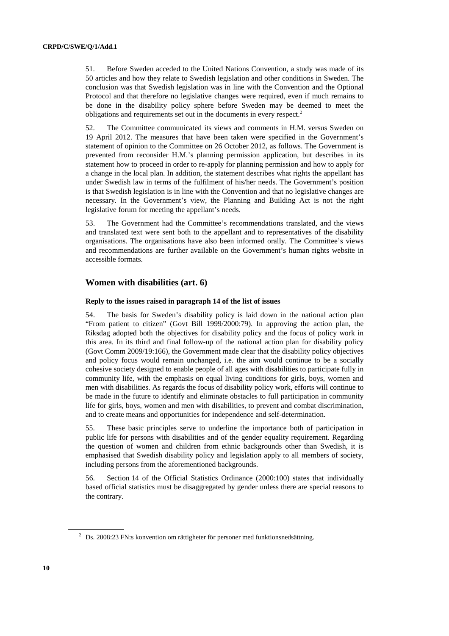51. Before Sweden acceded to the United Nations Convention, a study was made of its 50 articles and how they relate to Swedish legislation and other conditions in Sweden. The conclusion was that Swedish legislation was in line with the Convention and the Optional Protocol and that therefore no legislative changes were required, even if much remains to be done in the disability policy sphere before Sweden may be deemed to meet the obligations and requirements set out in the documents in every respect.<sup>2</sup>

52. The Committee communicated its views and comments in H.M. versus Sweden on 19 April 2012. The measures that have been taken were specified in the Government's statement of opinion to the Committee on 26 October 2012, as follows. The Government is prevented from reconsider H.M.'s planning permission application, but describes in its statement how to proceed in order to re-apply for planning permission and how to apply for a change in the local plan. In addition, the statement describes what rights the appellant has under Swedish law in terms of the fulfilment of his/her needs. The Government's position is that Swedish legislation is in line with the Convention and that no legislative changes are necessary. In the Government's view, the Planning and Building Act is not the right legislative forum for meeting the appellant's needs.

53. The Government had the Committee's recommendations translated, and the views and translated text were sent both to the appellant and to representatives of the disability organisations. The organisations have also been informed orally. The Committee's views and recommendations are further available on the Government's human rights website in accessible formats.

# **Women with disabilities (art. 6)**

# **Reply to the issues raised in paragraph 14 of the list of issues**

54. The basis for Sweden's disability policy is laid down in the national action plan "From patient to citizen" (Govt Bill 1999/2000:79). In approving the action plan, the Riksdag adopted both the objectives for disability policy and the focus of policy work in this area. In its third and final follow-up of the national action plan for disability policy (Govt Comm 2009/19:166), the Government made clear that the disability policy objectives and policy focus would remain unchanged, i.e. the aim would continue to be a socially cohesive society designed to enable people of all ages with disabilities to participate fully in community life, with the emphasis on equal living conditions for girls, boys, women and men with disabilities. As regards the focus of disability policy work, efforts will continue to be made in the future to identify and eliminate obstacles to full participation in community life for girls, boys, women and men with disabilities, to prevent and combat discrimination, and to create means and opportunities for independence and self-determination.

55. These basic principles serve to underline the importance both of participation in public life for persons with disabilities and of the gender equality requirement. Regarding the question of women and children from ethnic backgrounds other than Swedish, it is emphasised that Swedish disability policy and legislation apply to all members of society, including persons from the aforementioned backgrounds.

56. Section 14 of the Official Statistics Ordinance (2000:100) states that individually based official statistics must be disaggregated by gender unless there are special reasons to the contrary.

 $2$  Ds. 2008:23 FN:s konvention om rättigheter för personer med funktionsnedsättning.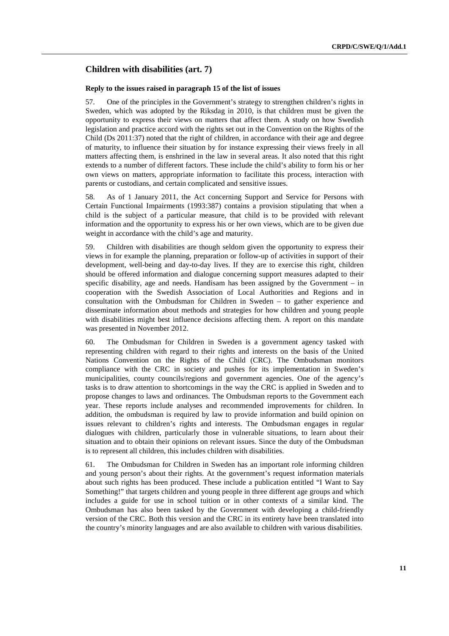# **Children with disabilities (art. 7)**

#### **Reply to the issues raised in paragraph 15 of the list of issues**

57. One of the principles in the Government's strategy to strengthen children's rights in Sweden, which was adopted by the Riksdag in 2010, is that children must be given the opportunity to express their views on matters that affect them. A study on how Swedish legislation and practice accord with the rights set out in the Convention on the Rights of the Child (Ds 2011:37) noted that the right of children, in accordance with their age and degree of maturity, to influence their situation by for instance expressing their views freely in all matters affecting them, is enshrined in the law in several areas. It also noted that this right extends to a number of different factors. These include the child's ability to form his or her own views on matters, appropriate information to facilitate this process, interaction with parents or custodians, and certain complicated and sensitive issues.

58. As of 1 January 2011, the Act concerning Support and Service for Persons with Certain Functional Impairments (1993:387) contains a provision stipulating that when a child is the subject of a particular measure, that child is to be provided with relevant information and the opportunity to express his or her own views, which are to be given due weight in accordance with the child's age and maturity.

59. Children with disabilities are though seldom given the opportunity to express their views in for example the planning, preparation or follow-up of activities in support of their development, well-being and day-to-day lives. If they are to exercise this right, children should be offered information and dialogue concerning support measures adapted to their specific disability, age and needs. Handisam has been assigned by the Government – in cooperation with the Swedish Association of Local Authorities and Regions and in consultation with the Ombudsman for Children in Sweden – to gather experience and disseminate information about methods and strategies for how children and young people with disabilities might best influence decisions affecting them. A report on this mandate was presented in November 2012.

60. The Ombudsman for Children in Sweden is a government agency tasked with representing children with regard to their rights and interests on the basis of the United Nations Convention on the Rights of the Child (CRC). The Ombudsman monitors compliance with the CRC in society and pushes for its implementation in Sweden's municipalities, county councils/regions and government agencies. One of the agency's tasks is to draw attention to shortcomings in the way the CRC is applied in Sweden and to propose changes to laws and ordinances. The Ombudsman reports to the Government each year. These reports include analyses and recommended improvements for children. In addition, the ombudsman is required by law to provide information and build opinion on issues relevant to children's rights and interests. The Ombudsman engages in regular dialogues with children, particularly those in vulnerable situations, to learn about their situation and to obtain their opinions on relevant issues. Since the duty of the Ombudsman is to represent all children, this includes children with disabilities.

61. The Ombudsman for Children in Sweden has an important role informing children and young person's about their rights. At the government's request information materials about such rights has been produced. These include a publication entitled "I Want to Say Something!" that targets children and young people in three different age groups and which includes a guide for use in school tuition or in other contexts of a similar kind. The Ombudsman has also been tasked by the Government with developing a child-friendly version of the CRC. Both this version and the CRC in its entirety have been translated into the country's minority languages and are also available to children with various disabilities.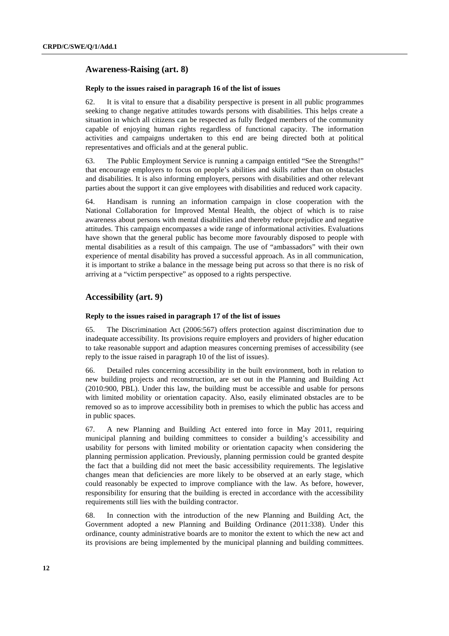# **Awareness-Raising (art. 8)**

#### **Reply to the issues raised in paragraph 16 of the list of issues**

62. It is vital to ensure that a disability perspective is present in all public programmes seeking to change negative attitudes towards persons with disabilities. This helps create a situation in which all citizens can be respected as fully fledged members of the community capable of enjoying human rights regardless of functional capacity. The information activities and campaigns undertaken to this end are being directed both at political representatives and officials and at the general public.

63. The Public Employment Service is running a campaign entitled "See the Strengths!" that encourage employers to focus on people's abilities and skills rather than on obstacles and disabilities. It is also informing employers, persons with disabilities and other relevant parties about the support it can give employees with disabilities and reduced work capacity.

64. Handisam is running an information campaign in close cooperation with the National Collaboration for Improved Mental Health, the object of which is to raise awareness about persons with mental disabilities and thereby reduce prejudice and negative attitudes. This campaign encompasses a wide range of informational activities. Evaluations have shown that the general public has become more favourably disposed to people with mental disabilities as a result of this campaign. The use of "ambassadors" with their own experience of mental disability has proved a successful approach. As in all communication, it is important to strike a balance in the message being put across so that there is no risk of arriving at a "victim perspective" as opposed to a rights perspective.

# **Accessibility (art. 9)**

#### **Reply to the issues raised in paragraph 17 of the list of issues**

65. The Discrimination Act (2006:567) offers protection against discrimination due to inadequate accessibility. Its provisions require employers and providers of higher education to take reasonable support and adaption measures concerning premises of accessibility (see reply to the issue raised in paragraph 10 of the list of issues).

66. Detailed rules concerning accessibility in the built environment, both in relation to new building projects and reconstruction, are set out in the Planning and Building Act (2010:900, PBL). Under this law, the building must be accessible and usable for persons with limited mobility or orientation capacity. Also, easily eliminated obstacles are to be removed so as to improve accessibility both in premises to which the public has access and in public spaces.

67. A new Planning and Building Act entered into force in May 2011, requiring municipal planning and building committees to consider a building's accessibility and usability for persons with limited mobility or orientation capacity when considering the planning permission application. Previously, planning permission could be granted despite the fact that a building did not meet the basic accessibility requirements. The legislative changes mean that deficiencies are more likely to be observed at an early stage, which could reasonably be expected to improve compliance with the law. As before, however, responsibility for ensuring that the building is erected in accordance with the accessibility requirements still lies with the building contractor.

68. In connection with the introduction of the new Planning and Building Act, the Government adopted a new Planning and Building Ordinance (2011:338). Under this ordinance, county administrative boards are to monitor the extent to which the new act and its provisions are being implemented by the municipal planning and building committees.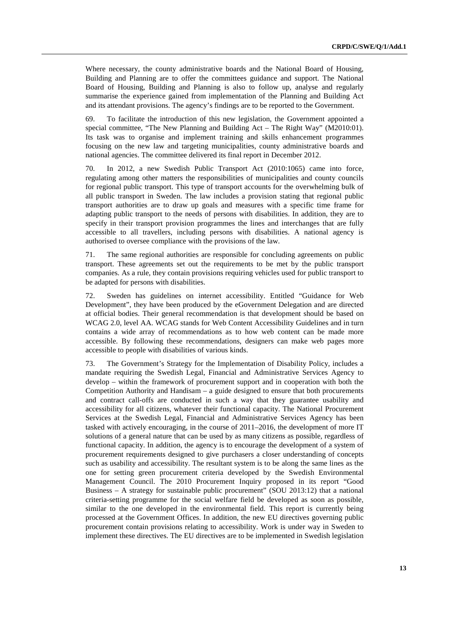Where necessary, the county administrative boards and the National Board of Housing, Building and Planning are to offer the committees guidance and support. The National Board of Housing, Building and Planning is also to follow up, analyse and regularly summarise the experience gained from implementation of the Planning and Building Act and its attendant provisions. The agency's findings are to be reported to the Government.

69. To facilitate the introduction of this new legislation, the Government appointed a special committee, "The New Planning and Building Act – The Right Way" (M2010:01). Its task was to organise and implement training and skills enhancement programmes focusing on the new law and targeting municipalities, county administrative boards and national agencies. The committee delivered its final report in December 2012.

70. In 2012, a new Swedish Public Transport Act (2010:1065) came into force, regulating among other matters the responsibilities of municipalities and county councils for regional public transport. This type of transport accounts for the overwhelming bulk of all public transport in Sweden. The law includes a provision stating that regional public transport authorities are to draw up goals and measures with a specific time frame for adapting public transport to the needs of persons with disabilities. In addition, they are to specify in their transport provision programmes the lines and interchanges that are fully accessible to all travellers, including persons with disabilities. A national agency is authorised to oversee compliance with the provisions of the law.

71. The same regional authorities are responsible for concluding agreements on public transport. These agreements set out the requirements to be met by the public transport companies. As a rule, they contain provisions requiring vehicles used for public transport to be adapted for persons with disabilities.

72. Sweden has guidelines on internet accessibility. Entitled "Guidance for Web Development", they have been produced by the eGovernment Delegation and are directed at official bodies. Their general recommendation is that development should be based on WCAG 2.0, level AA. WCAG stands for Web Content Accessibility Guidelines and in turn contains a wide array of recommendations as to how web content can be made more accessible. By following these recommendations, designers can make web pages more accessible to people with disabilities of various kinds.

73. The Government's Strategy for the Implementation of Disability Policy, includes a mandate requiring the Swedish Legal, Financial and Administrative Services Agency to develop – within the framework of procurement support and in cooperation with both the Competition Authority and Handisam – a guide designed to ensure that both procurements and contract call-offs are conducted in such a way that they guarantee usability and accessibility for all citizens, whatever their functional capacity. The National Procurement Services at the Swedish Legal, Financial and Administrative Services Agency has been tasked with actively encouraging, in the course of 2011–2016, the development of more IT solutions of a general nature that can be used by as many citizens as possible, regardless of functional capacity. In addition, the agency is to encourage the development of a system of procurement requirements designed to give purchasers a closer understanding of concepts such as usability and accessibility. The resultant system is to be along the same lines as the one for setting green procurement criteria developed by the Swedish Environmental Management Council. The 2010 Procurement Inquiry proposed in its report "Good Business – A strategy for sustainable public procurement" (SOU 2013:12) that a national criteria-setting programme for the social welfare field be developed as soon as possible, similar to the one developed in the environmental field. This report is currently being processed at the Government Offices. In addition, the new EU directives governing public procurement contain provisions relating to accessibility. Work is under way in Sweden to implement these directives. The EU directives are to be implemented in Swedish legislation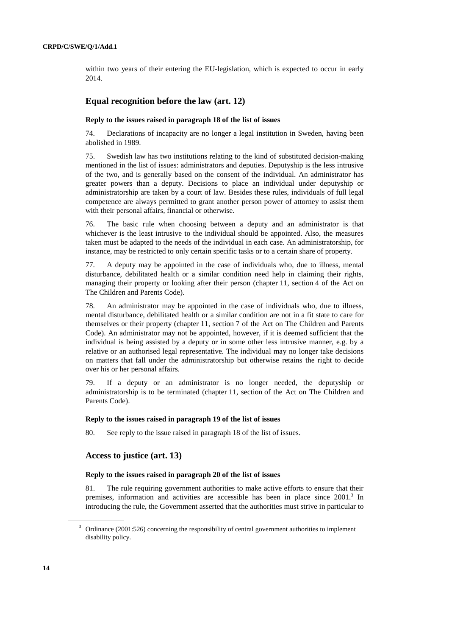within two years of their entering the EU-legislation, which is expected to occur in early 2014.

# **Equal recognition before the law (art. 12)**

## **Reply to the issues raised in paragraph 18 of the list of issues**

74. Declarations of incapacity are no longer a legal institution in Sweden, having been abolished in 1989.

75. Swedish law has two institutions relating to the kind of substituted decision-making mentioned in the list of issues: administrators and deputies. Deputyship is the less intrusive of the two, and is generally based on the consent of the individual. An administrator has greater powers than a deputy. Decisions to place an individual under deputyship or administratorship are taken by a court of law. Besides these rules, individuals of full legal competence are always permitted to grant another person power of attorney to assist them with their personal affairs, financial or otherwise.

76. The basic rule when choosing between a deputy and an administrator is that whichever is the least intrusive to the individual should be appointed. Also, the measures taken must be adapted to the needs of the individual in each case. An administratorship, for instance, may be restricted to only certain specific tasks or to a certain share of property.

77. A deputy may be appointed in the case of individuals who, due to illness, mental disturbance, debilitated health or a similar condition need help in claiming their rights, managing their property or looking after their person (chapter 11, section 4 of the Act on The Children and Parents Code).

78. An administrator may be appointed in the case of individuals who, due to illness, mental disturbance, debilitated health or a similar condition are not in a fit state to care for themselves or their property (chapter 11, section 7 of the Act on The Children and Parents Code). An administrator may not be appointed, however, if it is deemed sufficient that the individual is being assisted by a deputy or in some other less intrusive manner, e.g. by a relative or an authorised legal representative. The individual may no longer take decisions on matters that fall under the administratorship but otherwise retains the right to decide over his or her personal affairs.

79. If a deputy or an administrator is no longer needed, the deputyship or administratorship is to be terminated (chapter 11, section of the Act on The Children and Parents Code).

#### **Reply to the issues raised in paragraph 19 of the list of issues**

80. See reply to the issue raised in paragraph 18 of the list of issues.

### **Access to justice (art. 13)**

### **Reply to the issues raised in paragraph 20 of the list of issues**

81. The rule requiring government authorities to make active efforts to ensure that their premises, information and activities are accessible has been in place since 2001.<sup>3</sup> In introducing the rule, the Government asserted that the authorities must strive in particular to

 $3$  Ordinance (2001:526) concerning the responsibility of central government authorities to implement disability policy.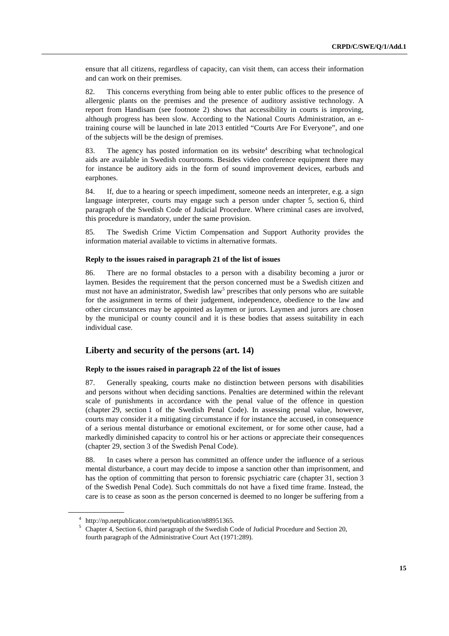ensure that all citizens, regardless of capacity, can visit them, can access their information and can work on their premises.

82. This concerns everything from being able to enter public offices to the presence of allergenic plants on the premises and the presence of auditory assistive technology. A report from Handisam (see footnote 2) shows that accessibility in courts is improving, although progress has been slow. According to the National Courts Administration, an etraining course will be launched in late 2013 entitled "Courts Are For Everyone", and one of the subjects will be the design of premises.

83. The agency has posted information on its website<sup>4</sup> describing what technological aids are available in Swedish courtrooms. Besides video conference equipment there may for instance be auditory aids in the form of sound improvement devices, earbuds and earphones.

84. If, due to a hearing or speech impediment, someone needs an interpreter, e.g. a sign language interpreter, courts may engage such a person under chapter 5, section 6, third paragraph of the Swedish Code of Judicial Procedure. Where criminal cases are involved, this procedure is mandatory, under the same provision.

85. The Swedish Crime Victim Compensation and Support Authority provides the information material available to victims in alternative formats.

### **Reply to the issues raised in paragraph 21 of the list of issues**

86. There are no formal obstacles to a person with a disability becoming a juror or laymen. Besides the requirement that the person concerned must be a Swedish citizen and must not have an administrator, Swedish law<sup>5</sup> prescribes that only persons who are suitable for the assignment in terms of their judgement, independence, obedience to the law and other circumstances may be appointed as laymen or jurors. Laymen and jurors are chosen by the municipal or county council and it is these bodies that assess suitability in each individual case.

# **Liberty and security of the persons (art. 14)**

# **Reply to the issues raised in paragraph 22 of the list of issues**

87. Generally speaking, courts make no distinction between persons with disabilities and persons without when deciding sanctions. Penalties are determined within the relevant scale of punishments in accordance with the penal value of the offence in question (chapter 29, section 1 of the Swedish Penal Code). In assessing penal value, however, courts may consider it a mitigating circumstance if for instance the accused, in consequence of a serious mental disturbance or emotional excitement, or for some other cause, had a markedly diminished capacity to control his or her actions or appreciate their consequences (chapter 29, section 3 of the Swedish Penal Code).

88. In cases where a person has committed an offence under the influence of a serious mental disturbance, a court may decide to impose a sanction other than imprisonment, and has the option of committing that person to forensic psychiatric care (chapter 31, section 3 of the Swedish Penal Code). Such committals do not have a fixed time frame. Instead, the care is to cease as soon as the person concerned is deemed to no longer be suffering from a

<sup>4</sup> http://np.netpublicator.com/netpublication/n88951365.

<sup>&</sup>lt;sup>5</sup> Chapter 4, Section 6, third paragraph of the Swedish Code of Judicial Procedure and Section 20, fourth paragraph of the Administrative Court Act (1971:289).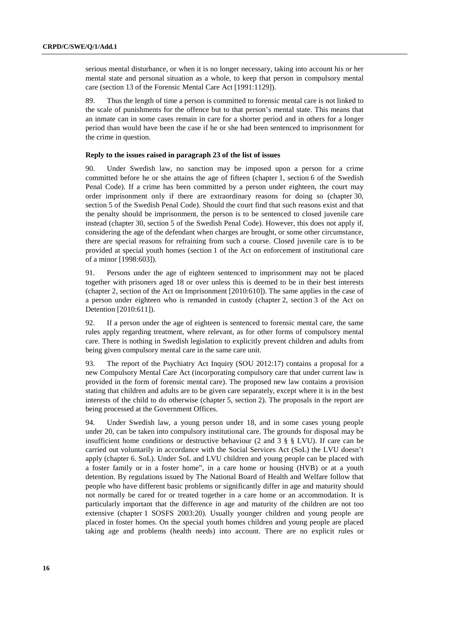serious mental disturbance, or when it is no longer necessary, taking into account his or her mental state and personal situation as a whole, to keep that person in compulsory mental care (section 13 of the Forensic Mental Care Act [1991:1129]).

89. Thus the length of time a person is committed to forensic mental care is not linked to the scale of punishments for the offence but to that person's mental state. This means that an inmate can in some cases remain in care for a shorter period and in others for a longer period than would have been the case if he or she had been sentenced to imprisonment for the crime in question.

### **Reply to the issues raised in paragraph 23 of the list of issues**

90. Under Swedish law, no sanction may be imposed upon a person for a crime committed before he or she attains the age of fifteen (chapter 1, section 6 of the Swedish Penal Code). If a crime has been committed by a person under eighteen, the court may order imprisonment only if there are extraordinary reasons for doing so (chapter 30, section 5 of the Swedish Penal Code). Should the court find that such reasons exist and that the penalty should be imprisonment, the person is to be sentenced to closed juvenile care instead (chapter 30, section 5 of the Swedish Penal Code). However, this does not apply if, considering the age of the defendant when charges are brought, or some other circumstance, there are special reasons for refraining from such a course. Closed juvenile care is to be provided at special youth homes (section 1 of the Act on enforcement of institutional care of a minor [1998:603]).

91. Persons under the age of eighteen sentenced to imprisonment may not be placed together with prisoners aged 18 or over unless this is deemed to be in their best interests (chapter 2, section of the Act on Imprisonment [2010:610]). The same applies in the case of a person under eighteen who is remanded in custody (chapter 2, section 3 of the Act on Detention [2010:611]).

92. If a person under the age of eighteen is sentenced to forensic mental care, the same rules apply regarding treatment, where relevant, as for other forms of compulsory mental care. There is nothing in Swedish legislation to explicitly prevent children and adults from being given compulsory mental care in the same care unit.

93. The report of the Psychiatry Act Inquiry (SOU 2012:17) contains a proposal for a new Compulsory Mental Care Act (incorporating compulsory care that under current law is provided in the form of forensic mental care). The proposed new law contains a provision stating that children and adults are to be given care separately, except where it is in the best interests of the child to do otherwise (chapter 5, section 2). The proposals in the report are being processed at the Government Offices.

94. Under Swedish law, a young person under 18, and in some cases young people under 20, can be taken into compulsory institutional care. The grounds for disposal may be insufficient home conditions or destructive behaviour (2 and 3 § § LVU). If care can be carried out voluntarily in accordance with the Social Services Act (SoL) the LVU doesn't apply (chapter 6. SoL). Under SoL and LVU children and young people can be placed with a foster family or in a foster home", in a care home or housing (HVB) or at a youth detention. By regulations issued by The National Board of Health and Welfare follow that people who have different basic problems or significantly differ in age and maturity should not normally be cared for or treated together in a care home or an accommodation. It is particularly important that the difference in age and maturity of the children are not too extensive (chapter 1 SOSFS 2003:20). Usually younger children and young people are placed in foster homes. On the special youth homes children and young people are placed taking age and problems (health needs) into account. There are no explicit rules or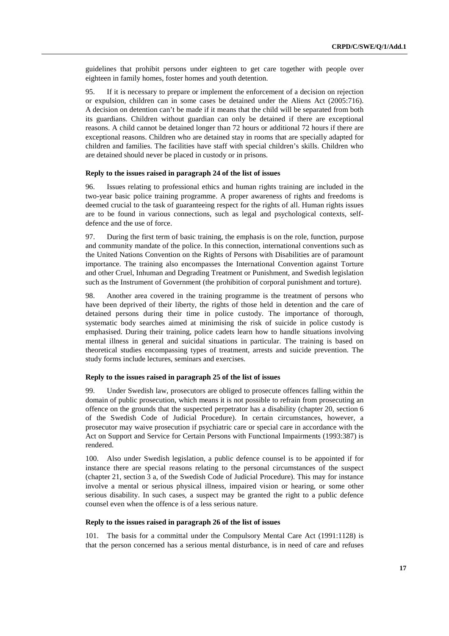guidelines that prohibit persons under eighteen to get care together with people over eighteen in family homes, foster homes and youth detention.

95. If it is necessary to prepare or implement the enforcement of a decision on rejection or expulsion, children can in some cases be detained under the Aliens Act (2005:716). A decision on detention can't be made if it means that the child will be separated from both its guardians. Children without guardian can only be detained if there are exceptional reasons. A child cannot be detained longer than 72 hours or additional 72 hours if there are exceptional reasons. Children who are detained stay in rooms that are specially adapted for children and families. The facilities have staff with special children's skills. Children who are detained should never be placed in custody or in prisons.

#### **Reply to the issues raised in paragraph 24 of the list of issues**

96. Issues relating to professional ethics and human rights training are included in the two-year basic police training programme. A proper awareness of rights and freedoms is deemed crucial to the task of guaranteeing respect for the rights of all. Human rights issues are to be found in various connections, such as legal and psychological contexts, selfdefence and the use of force.

97. During the first term of basic training, the emphasis is on the role, function, purpose and community mandate of the police. In this connection, international conventions such as the United Nations Convention on the Rights of Persons with Disabilities are of paramount importance. The training also encompasses the International Convention against Torture and other Cruel, Inhuman and Degrading Treatment or Punishment, and Swedish legislation such as the Instrument of Government (the prohibition of corporal punishment and torture).

98. Another area covered in the training programme is the treatment of persons who have been deprived of their liberty, the rights of those held in detention and the care of detained persons during their time in police custody. The importance of thorough, systematic body searches aimed at minimising the risk of suicide in police custody is emphasised. During their training, police cadets learn how to handle situations involving mental illness in general and suicidal situations in particular. The training is based on theoretical studies encompassing types of treatment, arrests and suicide prevention. The study forms include lectures, seminars and exercises.

#### **Reply to the issues raised in paragraph 25 of the list of issues**

99. Under Swedish law, prosecutors are obliged to prosecute offences falling within the domain of public prosecution, which means it is not possible to refrain from prosecuting an offence on the grounds that the suspected perpetrator has a disability (chapter 20, section 6 of the Swedish Code of Judicial Procedure). In certain circumstances, however, a prosecutor may waive prosecution if psychiatric care or special care in accordance with the Act on Support and Service for Certain Persons with Functional Impairments (1993:387) is rendered.

100. Also under Swedish legislation, a public defence counsel is to be appointed if for instance there are special reasons relating to the personal circumstances of the suspect (chapter 21, section 3 a, of the Swedish Code of Judicial Procedure). This may for instance involve a mental or serious physical illness, impaired vision or hearing, or some other serious disability. In such cases, a suspect may be granted the right to a public defence counsel even when the offence is of a less serious nature.

### **Reply to the issues raised in paragraph 26 of the list of issues**

101. The basis for a committal under the Compulsory Mental Care Act (1991:1128) is that the person concerned has a serious mental disturbance, is in need of care and refuses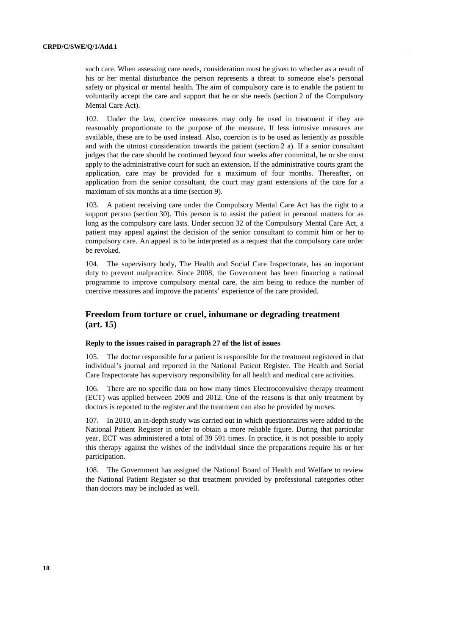such care. When assessing care needs, consideration must be given to whether as a result of his or her mental disturbance the person represents a threat to someone else's personal safety or physical or mental health. The aim of compulsory care is to enable the patient to voluntarily accept the care and support that he or she needs (section 2 of the Compulsory Mental Care Act).

102. Under the law, coercive measures may only be used in treatment if they are reasonably proportionate to the purpose of the measure. If less intrusive measures are available, these are to be used instead. Also, coercion is to be used as leniently as possible and with the utmost consideration towards the patient (section 2 a). If a senior consultant judges that the care should be continued beyond four weeks after committal, he or she must apply to the administrative court for such an extension. If the administrative courts grant the application, care may be provided for a maximum of four months. Thereafter, on application from the senior consultant, the court may grant extensions of the care for a maximum of six months at a time (section 9).

103. A patient receiving care under the Compulsory Mental Care Act has the right to a support person (section 30). This person is to assist the patient in personal matters for as long as the compulsory care lasts. Under section 32 of the Compulsory Mental Care Act, a patient may appeal against the decision of the senior consultant to commit him or her to compulsory care. An appeal is to be interpreted as a request that the compulsory care order be revoked.

104. The supervisory body, The Health and Social Care Inspectorate, has an important duty to prevent malpractice. Since 2008, the Government has been financing a national programme to improve compulsory mental care, the aim being to reduce the number of coercive measures and improve the patients' experience of the care provided.

# **Freedom from torture or cruel, inhumane or degrading treatment (art. 15)**

#### **Reply to the issues raised in paragraph 27 of the list of issues**

105. The doctor responsible for a patient is responsible for the treatment registered in that individual's journal and reported in the National Patient Register. The Health and Social Care Inspectorate has supervisory responsibility for all health and medical care activities.

106. There are no specific data on how many times Electroconvulsive therapy treatment (ECT) was applied between 2009 and 2012. One of the reasons is that only treatment by doctors is reported to the register and the treatment can also be provided by nurses.

107. In 2010, an in-depth study was carried out in which questionnaires were added to the National Patient Register in order to obtain a more reliable figure. During that particular year, ECT was administered a total of 39 591 times. In practice, it is not possible to apply this therapy against the wishes of the individual since the preparations require his or her participation.

108. The Government has assigned the National Board of Health and Welfare to review the National Patient Register so that treatment provided by professional categories other than doctors may be included as well.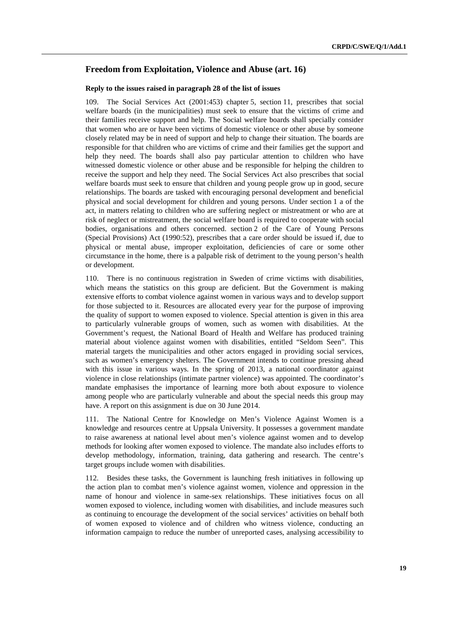# **Freedom from Exploitation, Violence and Abuse (art. 16)**

#### **Reply to the issues raised in paragraph 28 of the list of issues**

109. The Social Services Act (2001:453) chapter 5, section 11, prescribes that social welfare boards (in the municipalities) must seek to ensure that the victims of crime and their families receive support and help. The Social welfare boards shall specially consider that women who are or have been victims of domestic violence or other abuse by someone closely related may be in need of support and help to change their situation. The boards are responsible for that children who are victims of crime and their families get the support and help they need. The boards shall also pay particular attention to children who have witnessed domestic violence or other abuse and be responsible for helping the children to receive the support and help they need. The Social Services Act also prescribes that social welfare boards must seek to ensure that children and young people grow up in good, secure relationships. The boards are tasked with encouraging personal development and beneficial physical and social development for children and young persons. Under section 1 a of the act, in matters relating to children who are suffering neglect or mistreatment or who are at risk of neglect or mistreatment, the social welfare board is required to cooperate with social bodies, organisations and others concerned. section 2 of the Care of Young Persons (Special Provisions) Act (1990:52), prescribes that a care order should be issued if, due to physical or mental abuse, improper exploitation, deficiencies of care or some other circumstance in the home, there is a palpable risk of detriment to the young person's health or development.

110. There is no continuous registration in Sweden of crime victims with disabilities, which means the statistics on this group are deficient. But the Government is making extensive efforts to combat violence against women in various ways and to develop support for those subjected to it. Resources are allocated every year for the purpose of improving the quality of support to women exposed to violence. Special attention is given in this area to particularly vulnerable groups of women, such as women with disabilities. At the Government's request, the National Board of Health and Welfare has produced training material about violence against women with disabilities, entitled "Seldom Seen". This material targets the municipalities and other actors engaged in providing social services, such as women's emergency shelters. The Government intends to continue pressing ahead with this issue in various ways. In the spring of 2013, a national coordinator against violence in close relationships (intimate partner violence) was appointed. The coordinator's mandate emphasises the importance of learning more both about exposure to violence among people who are particularly vulnerable and about the special needs this group may have. A report on this assignment is due on 30 June 2014.

111. The National Centre for Knowledge on Men's Violence Against Women is a knowledge and resources centre at Uppsala University. It possesses a government mandate to raise awareness at national level about men's violence against women and to develop methods for looking after women exposed to violence. The mandate also includes efforts to develop methodology, information, training, data gathering and research. The centre's target groups include women with disabilities.

112. Besides these tasks, the Government is launching fresh initiatives in following up the action plan to combat men's violence against women, violence and oppression in the name of honour and violence in same-sex relationships. These initiatives focus on all women exposed to violence, including women with disabilities, and include measures such as continuing to encourage the development of the social services' activities on behalf both of women exposed to violence and of children who witness violence, conducting an information campaign to reduce the number of unreported cases, analysing accessibility to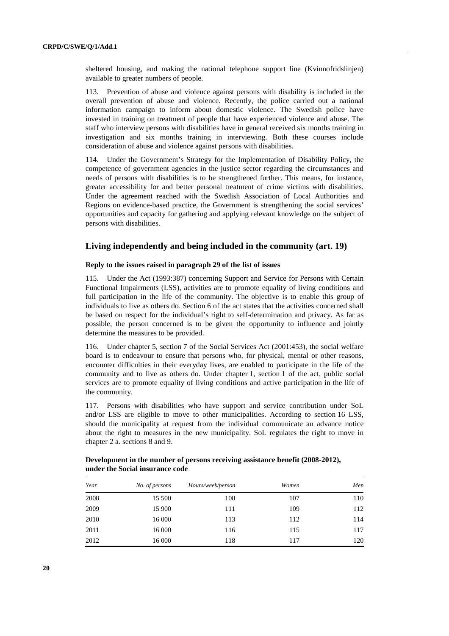sheltered housing, and making the national telephone support line (Kvinnofridslinjen) available to greater numbers of people.

113. Prevention of abuse and violence against persons with disability is included in the overall prevention of abuse and violence. Recently, the police carried out a national information campaign to inform about domestic violence. The Swedish police have invested in training on treatment of people that have experienced violence and abuse. The staff who interview persons with disabilities have in general received six months training in investigation and six months training in interviewing. Both these courses include consideration of abuse and violence against persons with disabilities.

114. Under the Government's Strategy for the Implementation of Disability Policy, the competence of government agencies in the justice sector regarding the circumstances and needs of persons with disabilities is to be strengthened further. This means, for instance, greater accessibility for and better personal treatment of crime victims with disabilities. Under the agreement reached with the Swedish Association of Local Authorities and Regions on evidence-based practice, the Government is strengthening the social services' opportunities and capacity for gathering and applying relevant knowledge on the subject of persons with disabilities.

# **Living independently and being included in the community (art. 19)**

#### **Reply to the issues raised in paragraph 29 of the list of issues**

115. Under the Act (1993:387) concerning Support and Service for Persons with Certain Functional Impairments (LSS), activities are to promote equality of living conditions and full participation in the life of the community. The objective is to enable this group of individuals to live as others do. Section 6 of the act states that the activities concerned shall be based on respect for the individual's right to self-determination and privacy. As far as possible, the person concerned is to be given the opportunity to influence and jointly determine the measures to be provided.

116. Under chapter 5, section 7 of the Social Services Act (2001:453), the social welfare board is to endeavour to ensure that persons who, for physical, mental or other reasons, encounter difficulties in their everyday lives, are enabled to participate in the life of the community and to live as others do. Under chapter 1, section 1 of the act, public social services are to promote equality of living conditions and active participation in the life of the community.

117. Persons with disabilities who have support and service contribution under SoL and/or LSS are eligible to move to other municipalities. According to section 16 LSS, should the municipality at request from the individual communicate an advance notice about the right to measures in the new municipality. SoL regulates the right to move in chapter 2 a. sections 8 and 9.

| Year | No. of persons | Hours/week/person | Women | Men |
|------|----------------|-------------------|-------|-----|
| 2008 | 15 500         | 108               | 107   | 110 |
| 2009 | 15 900         | 111               | 109   | 112 |
| 2010 | 16 000         | 113               | 112   | 114 |
| 2011 | 16 000         | 116               | 115   | 117 |
| 2012 | 16 000         | 118               | 117   | 120 |

 **Development in the number of persons receiving assistance benefit (2008-2012), under the Social insurance code**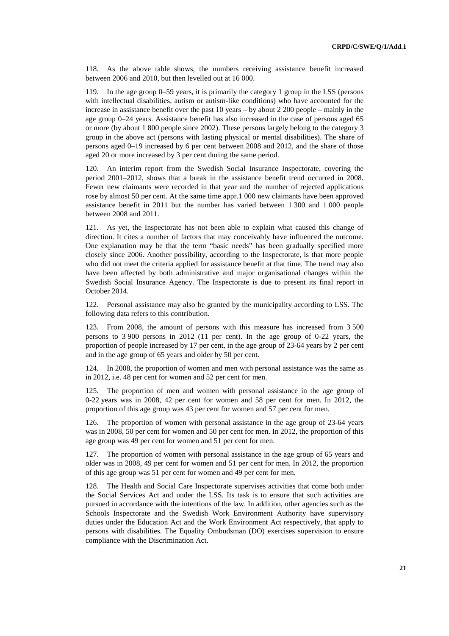118. As the above table shows, the numbers receiving assistance benefit increased between 2006 and 2010, but then levelled out at 16 000.

119. In the age group 0–59 years, it is primarily the category 1 group in the LSS (persons with intellectual disabilities, autism or autism-like conditions) who have accounted for the increase in assistance benefit over the past 10 years – by about 2 200 people – mainly in the age group 0–24 years. Assistance benefit has also increased in the case of persons aged 65 or more (by about 1 800 people since 2002). These persons largely belong to the category 3 group in the above act (persons with lasting physical or mental disabilities). The share of persons aged 0–19 increased by 6 per cent between 2008 and 2012, and the share of those aged 20 or more increased by 3 per cent during the same period.

120. An interim report from the Swedish Social Insurance Inspectorate, covering the period 2001–2012, shows that a break in the assistance benefit trend occurred in 2008. Fewer new claimants were recorded in that year and the number of rejected applications rose by almost 50 per cent. At the same time appr.1 000 new claimants have been approved assistance benefit in 2011 but the number has varied between 1 300 and 1 000 people between 2008 and 2011.

121. As yet, the Inspectorate has not been able to explain what caused this change of direction. It cites a number of factors that may conceivably have influenced the outcome. One explanation may be that the term "basic needs" has been gradually specified more closely since 2006. Another possibility, according to the Inspectorate, is that more people who did not meet the criteria applied for assistance benefit at that time. The trend may also have been affected by both administrative and major organisational changes within the Swedish Social Insurance Agency. The Inspectorate is due to present its final report in October 2014.

122. Personal assistance may also be granted by the municipality according to LSS. The following data refers to this contribution.

123. From 2008, the amount of persons with this measure has increased from 3 500 persons to 3 900 persons in 2012 (11 per cent). In the age group of 0-22 years, the proportion of people increased by 17 per cent, in the age group of 23-64 years by 2 per cent and in the age group of 65 years and older by 50 per cent.

124. In 2008, the proportion of women and men with personal assistance was the same as in 2012, i.e. 48 per cent for women and 52 per cent for men.

125. The proportion of men and women with personal assistance in the age group of 0-22 years was in 2008, 42 per cent for women and 58 per cent for men. In 2012, the proportion of this age group was 43 per cent for women and 57 per cent for men.

126. The proportion of women with personal assistance in the age group of 23-64 years was in 2008, 50 per cent for women and 50 per cent for men. In 2012, the proportion of this age group was 49 per cent for women and 51 per cent for men.

127. The proportion of women with personal assistance in the age group of 65 years and older was in 2008, 49 per cent for women and 51 per cent for men. In 2012, the proportion of this age group was 51 per cent for women and 49 per cent for men.

128. The Health and Social Care Inspectorate supervises activities that come both under the Social Services Act and under the LSS. Its task is to ensure that such activities are pursued in accordance with the intentions of the law. In addition, other agencies such as the Schools Inspectorate and the Swedish Work Environment Authority have supervisory duties under the Education Act and the Work Environment Act respectively, that apply to persons with disabilities. The Equality Ombudsman (DO) exercises supervision to ensure compliance with the Discrimination Act.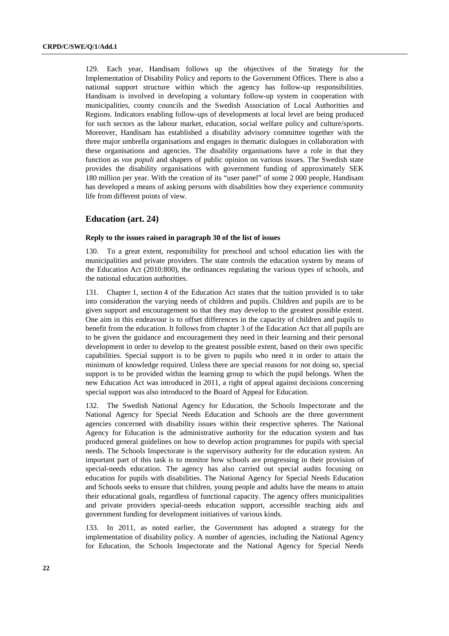129. Each year, Handisam follows up the objectives of the Strategy for the Implementation of Disability Policy and reports to the Government Offices. There is also a national support structure within which the agency has follow-up responsibilities. Handisam is involved in developing a voluntary follow-up system in cooperation with municipalities, county councils and the Swedish Association of Local Authorities and Regions. Indicators enabling follow-ups of developments at local level are being produced for such sectors as the labour market, education, social welfare policy and culture/sports. Moreover, Handisam has established a disability advisory committee together with the three major umbrella organisations and engages in thematic dialogues in collaboration with these organisations and agencies. The disability organisations have a role in that they function as *vox populi* and shapers of public opinion on various issues. The Swedish state provides the disability organisations with government funding of approximately SEK 180 million per year. With the creation of its "user panel" of some 2 000 people, Handisam has developed a means of asking persons with disabilities how they experience community life from different points of view.

# **Education (art. 24)**

### **Reply to the issues raised in paragraph 30 of the list of issues**

130. To a great extent, responsibility for preschool and school education lies with the municipalities and private providers. The state controls the education system by means of the Education Act (2010:800), the ordinances regulating the various types of schools, and the national education authorities.

131. Chapter 1, section 4 of the Education Act states that the tuition provided is to take into consideration the varying needs of children and pupils. Children and pupils are to be given support and encouragement so that they may develop to the greatest possible extent. One aim in this endeavour is to offset differences in the capacity of children and pupils to benefit from the education. It follows from chapter 3 of the Education Act that all pupils are to be given the guidance and encouragement they need in their learning and their personal development in order to develop to the greatest possible extent, based on their own specific capabilities. Special support is to be given to pupils who need it in order to attain the minimum of knowledge required. Unless there are special reasons for not doing so, special support is to be provided within the learning group to which the pupil belongs. When the new Education Act was introduced in 2011, a right of appeal against decisions concerning special support was also introduced to the Board of Appeal for Education.

132. The Swedish National Agency for Education, the Schools Inspectorate and the National Agency for Special Needs Education and Schools are the three government agencies concerned with disability issues within their respective spheres. The National Agency for Education is the administrative authority for the education system and has produced general guidelines on how to develop action programmes for pupils with special needs. The Schools Inspectorate is the supervisory authority for the education system. An important part of this task is to monitor how schools are progressing in their provision of special-needs education. The agency has also carried out special audits focusing on education for pupils with disabilities. The National Agency for Special Needs Education and Schools seeks to ensure that children, young people and adults have the means to attain their educational goals, regardless of functional capacity. The agency offers municipalities and private providers special-needs education support, accessible teaching aids and government funding for development initiatives of various kinds.

133. In 2011, as noted earlier, the Government has adopted a strategy for the implementation of disability policy. A number of agencies, including the National Agency for Education, the Schools Inspectorate and the National Agency for Special Needs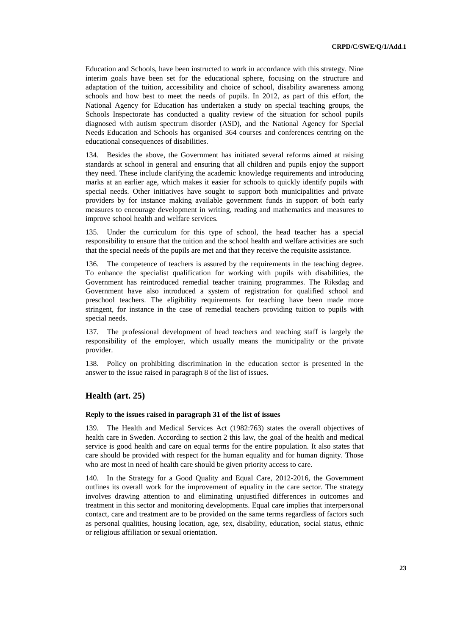Education and Schools, have been instructed to work in accordance with this strategy. Nine interim goals have been set for the educational sphere, focusing on the structure and adaptation of the tuition, accessibility and choice of school, disability awareness among schools and how best to meet the needs of pupils. In 2012, as part of this effort, the National Agency for Education has undertaken a study on special teaching groups, the Schools Inspectorate has conducted a quality review of the situation for school pupils diagnosed with autism spectrum disorder (ASD), and the National Agency for Special Needs Education and Schools has organised 364 courses and conferences centring on the educational consequences of disabilities.

134. Besides the above, the Government has initiated several reforms aimed at raising standards at school in general and ensuring that all children and pupils enjoy the support they need. These include clarifying the academic knowledge requirements and introducing marks at an earlier age, which makes it easier for schools to quickly identify pupils with special needs. Other initiatives have sought to support both municipalities and private providers by for instance making available government funds in support of both early measures to encourage development in writing, reading and mathematics and measures to improve school health and welfare services.

135. Under the curriculum for this type of school, the head teacher has a special responsibility to ensure that the tuition and the school health and welfare activities are such that the special needs of the pupils are met and that they receive the requisite assistance.

136. The competence of teachers is assured by the requirements in the teaching degree. To enhance the specialist qualification for working with pupils with disabilities, the Government has reintroduced remedial teacher training programmes. The Riksdag and Government have also introduced a system of registration for qualified school and preschool teachers. The eligibility requirements for teaching have been made more stringent, for instance in the case of remedial teachers providing tuition to pupils with special needs.

137. The professional development of head teachers and teaching staff is largely the responsibility of the employer, which usually means the municipality or the private provider.

138. Policy on prohibiting discrimination in the education sector is presented in the answer to the issue raised in paragraph 8 of the list of issues.

# **Health (art. 25)**

### **Reply to the issues raised in paragraph 31 of the list of issues**

139. The Health and Medical Services Act (1982:763) states the overall objectives of health care in Sweden. According to section 2 this law, the goal of the health and medical service is good health and care on equal terms for the entire population. It also states that care should be provided with respect for the human equality and for human dignity. Those who are most in need of health care should be given priority access to care.

140. In the Strategy for a Good Quality and Equal Care, 2012-2016, the Government outlines its overall work for the improvement of equality in the care sector. The strategy involves drawing attention to and eliminating unjustified differences in outcomes and treatment in this sector and monitoring developments. Equal care implies that interpersonal contact, care and treatment are to be provided on the same terms regardless of factors such as personal qualities, housing location, age, sex, disability, education, social status, ethnic or religious affiliation or sexual orientation.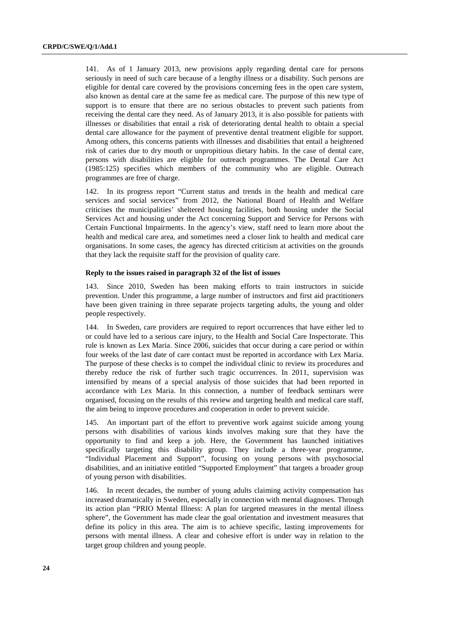141. As of 1 January 2013, new provisions apply regarding dental care for persons seriously in need of such care because of a lengthy illness or a disability. Such persons are eligible for dental care covered by the provisions concerning fees in the open care system, also known as dental care at the same fee as medical care. The purpose of this new type of support is to ensure that there are no serious obstacles to prevent such patients from receiving the dental care they need. As of January 2013, it is also possible for patients with illnesses or disabilities that entail a risk of deteriorating dental health to obtain a special dental care allowance for the payment of preventive dental treatment eligible for support. Among others, this concerns patients with illnesses and disabilities that entail a heightened risk of caries due to dry mouth or unpropitious dietary habits. In the case of dental care, persons with disabilities are eligible for outreach programmes. The Dental Care Act (1985:125) specifies which members of the community who are eligible. Outreach programmes are free of charge.

142. In its progress report "Current status and trends in the health and medical care services and social services" from 2012, the National Board of Health and Welfare criticises the municipalities' sheltered housing facilities, both housing under the Social Services Act and housing under the Act concerning Support and Service for Persons with Certain Functional Impairments. In the agency's view, staff need to learn more about the health and medical care area, and sometimes need a closer link to health and medical care organisations. In some cases, the agency has directed criticism at activities on the grounds that they lack the requisite staff for the provision of quality care.

#### **Reply to the issues raised in paragraph 32 of the list of issues**

143. Since 2010, Sweden has been making efforts to train instructors in suicide prevention. Under this programme, a large number of instructors and first aid practitioners have been given training in three separate projects targeting adults, the young and older people respectively.

144. In Sweden, care providers are required to report occurrences that have either led to or could have led to a serious care injury, to the Health and Social Care Inspectorate. This rule is known as Lex Maria. Since 2006, suicides that occur during a care period or within four weeks of the last date of care contact must be reported in accordance with Lex Maria. The purpose of these checks is to compel the individual clinic to review its procedures and thereby reduce the risk of further such tragic occurrences. In 2011, supervision was intensified by means of a special analysis of those suicides that had been reported in accordance with Lex Maria. In this connection, a number of feedback seminars were organised, focusing on the results of this review and targeting health and medical care staff, the aim being to improve procedures and cooperation in order to prevent suicide.

145. An important part of the effort to preventive work against suicide among young persons with disabilities of various kinds involves making sure that they have the opportunity to find and keep a job. Here, the Government has launched initiatives specifically targeting this disability group. They include a three-year programme, "Individual Placement and Support", focusing on young persons with psychosocial disabilities, and an initiative entitled "Supported Employment" that targets a broader group of young person with disabilities.

146. In recent decades, the number of young adults claiming activity compensation has increased dramatically in Sweden, especially in connection with mental diagnoses. Through its action plan "PRIO Mental Illness: A plan for targeted measures in the mental illness sphere", the Government has made clear the goal orientation and investment measures that define its policy in this area. The aim is to achieve specific, lasting improvements for persons with mental illness. A clear and cohesive effort is under way in relation to the target group children and young people.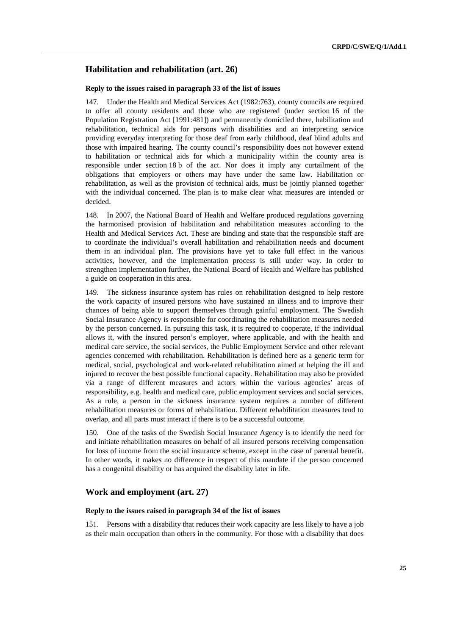# **Habilitation and rehabilitation (art. 26)**

#### **Reply to the issues raised in paragraph 33 of the list of issues**

147. Under the Health and Medical Services Act (1982:763), county councils are required to offer all county residents and those who are registered (under section 16 of the Population Registration Act [1991:481]) and permanently domiciled there, habilitation and rehabilitation, technical aids for persons with disabilities and an interpreting service providing everyday interpreting for those deaf from early childhood, deaf blind adults and those with impaired hearing. The county council's responsibility does not however extend to habilitation or technical aids for which a municipality within the county area is responsible under section 18 b of the act. Nor does it imply any curtailment of the obligations that employers or others may have under the same law. Habilitation or rehabilitation, as well as the provision of technical aids, must be jointly planned together with the individual concerned. The plan is to make clear what measures are intended or decided.

148. In 2007, the National Board of Health and Welfare produced regulations governing the harmonised provision of habilitation and rehabilitation measures according to the Health and Medical Services Act. These are binding and state that the responsible staff are to coordinate the individual's overall habilitation and rehabilitation needs and document them in an individual plan. The provisions have yet to take full effect in the various activities, however, and the implementation process is still under way. In order to strengthen implementation further, the National Board of Health and Welfare has published a guide on cooperation in this area.

149. The sickness insurance system has rules on rehabilitation designed to help restore the work capacity of insured persons who have sustained an illness and to improve their chances of being able to support themselves through gainful employment. The Swedish Social Insurance Agency is responsible for coordinating the rehabilitation measures needed by the person concerned. In pursuing this task, it is required to cooperate, if the individual allows it, with the insured person's employer, where applicable, and with the health and medical care service, the social services, the Public Employment Service and other relevant agencies concerned with rehabilitation. Rehabilitation is defined here as a generic term for medical, social, psychological and work-related rehabilitation aimed at helping the ill and injured to recover the best possible functional capacity. Rehabilitation may also be provided via a range of different measures and actors within the various agencies' areas of responsibility, e.g. health and medical care, public employment services and social services. As a rule, a person in the sickness insurance system requires a number of different rehabilitation measures or forms of rehabilitation. Different rehabilitation measures tend to overlap, and all parts must interact if there is to be a successful outcome.

150. One of the tasks of the Swedish Social Insurance Agency is to identify the need for and initiate rehabilitation measures on behalf of all insured persons receiving compensation for loss of income from the social insurance scheme, except in the case of parental benefit. In other words, it makes no difference in respect of this mandate if the person concerned has a congenital disability or has acquired the disability later in life.

# **Work and employment (art. 27)**

# **Reply to the issues raised in paragraph 34 of the list of issues**

151. Persons with a disability that reduces their work capacity are less likely to have a job as their main occupation than others in the community. For those with a disability that does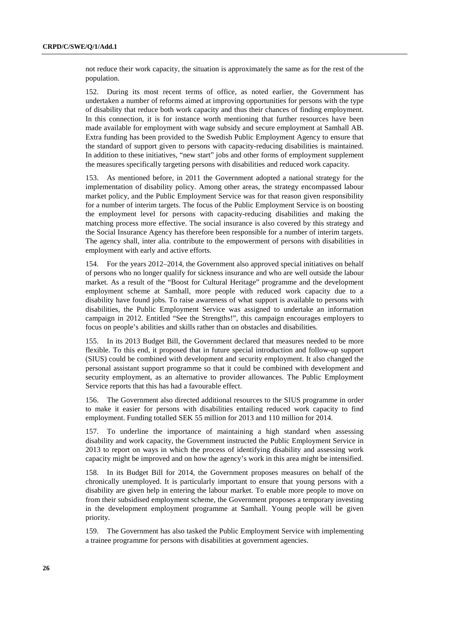not reduce their work capacity, the situation is approximately the same as for the rest of the population.

152. During its most recent terms of office, as noted earlier, the Government has undertaken a number of reforms aimed at improving opportunities for persons with the type of disability that reduce both work capacity and thus their chances of finding employment. In this connection, it is for instance worth mentioning that further resources have been made available for employment with wage subsidy and secure employment at Samhall AB. Extra funding has been provided to the Swedish Public Employment Agency to ensure that the standard of support given to persons with capacity-reducing disabilities is maintained. In addition to these initiatives, "new start" jobs and other forms of employment supplement the measures specifically targeting persons with disabilities and reduced work capacity.

153. As mentioned before, in 2011 the Government adopted a national strategy for the implementation of disability policy. Among other areas, the strategy encompassed labour market policy, and the Public Employment Service was for that reason given responsibility for a number of interim targets. The focus of the Public Employment Service is on boosting the employment level for persons with capacity-reducing disabilities and making the matching process more effective. The social insurance is also covered by this strategy and the Social Insurance Agency has therefore been responsible for a number of interim targets. The agency shall, inter alia. contribute to the empowerment of persons with disabilities in employment with early and active efforts.

154. For the years 2012–2014, the Government also approved special initiatives on behalf of persons who no longer qualify for sickness insurance and who are well outside the labour market. As a result of the "Boost for Cultural Heritage" programme and the development employment scheme at Samhall, more people with reduced work capacity due to a disability have found jobs. To raise awareness of what support is available to persons with disabilities, the Public Employment Service was assigned to undertake an information campaign in 2012. Entitled "See the Strengths!", this campaign encourages employers to focus on people's abilities and skills rather than on obstacles and disabilities.

155. In its 2013 Budget Bill, the Government declared that measures needed to be more flexible. To this end, it proposed that in future special introduction and follow-up support (SIUS) could be combined with development and security employment. It also changed the personal assistant support programme so that it could be combined with development and security employment, as an alternative to provider allowances. The Public Employment Service reports that this has had a favourable effect.

156. The Government also directed additional resources to the SIUS programme in order to make it easier for persons with disabilities entailing reduced work capacity to find employment. Funding totalled SEK 55 million for 2013 and 110 million for 2014.

157. To underline the importance of maintaining a high standard when assessing disability and work capacity, the Government instructed the Public Employment Service in 2013 to report on ways in which the process of identifying disability and assessing work capacity might be improved and on how the agency's work in this area might be intensified.

158. In its Budget Bill for 2014, the Government proposes measures on behalf of the chronically unemployed. It is particularly important to ensure that young persons with a disability are given help in entering the labour market. To enable more people to move on from their subsidised employment scheme, the Government proposes a temporary investing in the development employment programme at Samhall. Young people will be given priority.

159. The Government has also tasked the Public Employment Service with implementing a trainee programme for persons with disabilities at government agencies.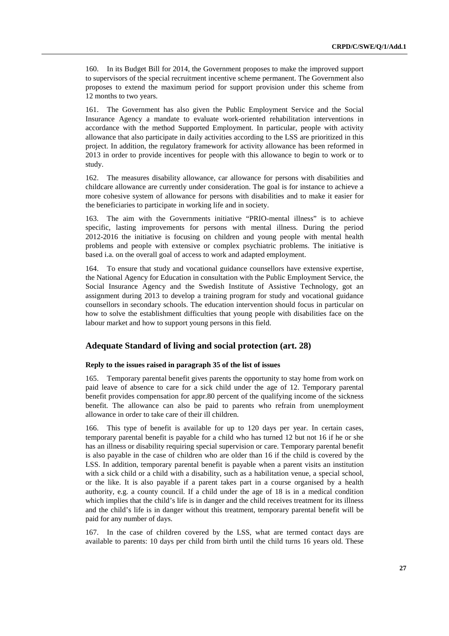160. In its Budget Bill for 2014, the Government proposes to make the improved support to supervisors of the special recruitment incentive scheme permanent. The Government also proposes to extend the maximum period for support provision under this scheme from 12 months to two years.

161. The Government has also given the Public Employment Service and the Social Insurance Agency a mandate to evaluate work-oriented rehabilitation interventions in accordance with the method Supported Employment. In particular, people with activity allowance that also participate in daily activities according to the LSS are prioritized in this project. In addition, the regulatory framework for activity allowance has been reformed in 2013 in order to provide incentives for people with this allowance to begin to work or to study.

162. The measures disability allowance, car allowance for persons with disabilities and childcare allowance are currently under consideration. The goal is for instance to achieve a more cohesive system of allowance for persons with disabilities and to make it easier for the beneficiaries to participate in working life and in society.

163. The aim with the Governments initiative "PRIO-mental illness" is to achieve specific, lasting improvements for persons with mental illness. During the period 2012-2016 the initiative is focusing on children and young people with mental health problems and people with extensive or complex psychiatric problems. The initiative is based i.a. on the overall goal of access to work and adapted employment.

164. To ensure that study and vocational guidance counsellors have extensive expertise, the National Agency for Education in consultation with the Public Employment Service, the Social Insurance Agency and the Swedish Institute of Assistive Technology, got an assignment during 2013 to develop a training program for study and vocational guidance counsellors in secondary schools. The education intervention should focus in particular on how to solve the establishment difficulties that young people with disabilities face on the labour market and how to support young persons in this field.

# **Adequate Standard of living and social protection (art. 28)**

### **Reply to the issues raised in paragraph 35 of the list of issues**

165. Temporary parental benefit gives parents the opportunity to stay home from work on paid leave of absence to care for a sick child under the age of 12. Temporary parental benefit provides compensation for appr.80 percent of the qualifying income of the sickness benefit. The allowance can also be paid to parents who refrain from unemployment allowance in order to take care of their ill children.

166. This type of benefit is available for up to 120 days per year. In certain cases, temporary parental benefit is payable for a child who has turned 12 but not 16 if he or she has an illness or disability requiring special supervision or care. Temporary parental benefit is also payable in the case of children who are older than 16 if the child is covered by the LSS. In addition, temporary parental benefit is payable when a parent visits an institution with a sick child or a child with a disability, such as a habilitation venue, a special school, or the like. It is also payable if a parent takes part in a course organised by a health authority, e.g. a county council. If a child under the age of 18 is in a medical condition which implies that the child's life is in danger and the child receives treatment for its illness and the child's life is in danger without this treatment, temporary parental benefit will be paid for any number of days.

167. In the case of children covered by the LSS, what are termed contact days are available to parents: 10 days per child from birth until the child turns 16 years old. These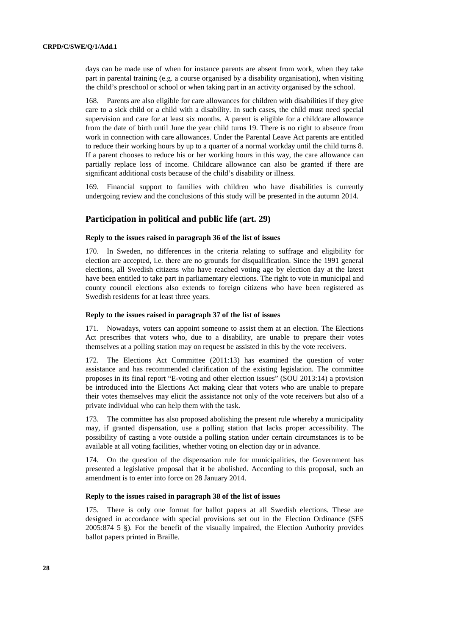days can be made use of when for instance parents are absent from work, when they take part in parental training (e.g. a course organised by a disability organisation), when visiting the child's preschool or school or when taking part in an activity organised by the school.

168. Parents are also eligible for care allowances for children with disabilities if they give care to a sick child or a child with a disability. In such cases, the child must need special supervision and care for at least six months. A parent is eligible for a childcare allowance from the date of birth until June the year child turns 19. There is no right to absence from work in connection with care allowances. Under the Parental Leave Act parents are entitled to reduce their working hours by up to a quarter of a normal workday until the child turns 8. If a parent chooses to reduce his or her working hours in this way, the care allowance can partially replace loss of income. Childcare allowance can also be granted if there are significant additional costs because of the child's disability or illness.

169. Financial support to families with children who have disabilities is currently undergoing review and the conclusions of this study will be presented in the autumn 2014.

# **Participation in political and public life (art. 29)**

## **Reply to the issues raised in paragraph 36 of the list of issues**

170. In Sweden, no differences in the criteria relating to suffrage and eligibility for election are accepted, i.e. there are no grounds for disqualification. Since the 1991 general elections, all Swedish citizens who have reached voting age by election day at the latest have been entitled to take part in parliamentary elections. The right to vote in municipal and county council elections also extends to foreign citizens who have been registered as Swedish residents for at least three years.

#### **Reply to the issues raised in paragraph 37 of the list of issues**

171. Nowadays, voters can appoint someone to assist them at an election. The Elections Act prescribes that voters who, due to a disability, are unable to prepare their votes themselves at a polling station may on request be assisted in this by the vote receivers.

172. The Elections Act Committee (2011:13) has examined the question of voter assistance and has recommended clarification of the existing legislation. The committee proposes in its final report "E-voting and other election issues" (SOU 2013:14) a provision be introduced into the Elections Act making clear that voters who are unable to prepare their votes themselves may elicit the assistance not only of the vote receivers but also of a private individual who can help them with the task.

173. The committee has also proposed abolishing the present rule whereby a municipality may, if granted dispensation, use a polling station that lacks proper accessibility. The possibility of casting a vote outside a polling station under certain circumstances is to be available at all voting facilities, whether voting on election day or in advance.

174. On the question of the dispensation rule for municipalities, the Government has presented a legislative proposal that it be abolished. According to this proposal, such an amendment is to enter into force on 28 January 2014.

#### **Reply to the issues raised in paragraph 38 of the list of issues**

175. There is only one format for ballot papers at all Swedish elections. These are designed in accordance with special provisions set out in the Election Ordinance (SFS 2005:874 5 §). For the benefit of the visually impaired, the Election Authority provides ballot papers printed in Braille.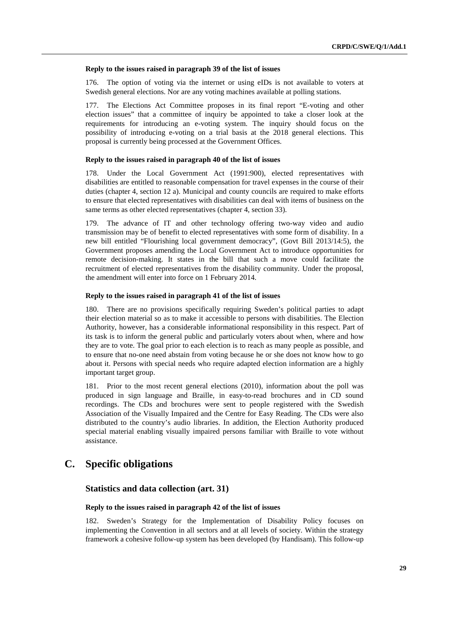#### **Reply to the issues raised in paragraph 39 of the list of issues**

176. The option of voting via the internet or using eIDs is not available to voters at Swedish general elections. Nor are any voting machines available at polling stations.

177. The Elections Act Committee proposes in its final report "E-voting and other election issues" that a committee of inquiry be appointed to take a closer look at the requirements for introducing an e-voting system. The inquiry should focus on the possibility of introducing e-voting on a trial basis at the 2018 general elections. This proposal is currently being processed at the Government Offices.

#### **Reply to the issues raised in paragraph 40 of the list of issues**

178. Under the Local Government Act (1991:900), elected representatives with disabilities are entitled to reasonable compensation for travel expenses in the course of their duties (chapter 4, section 12 a). Municipal and county councils are required to make efforts to ensure that elected representatives with disabilities can deal with items of business on the same terms as other elected representatives (chapter 4, section 33).

179. The advance of IT and other technology offering two-way video and audio transmission may be of benefit to elected representatives with some form of disability. In a new bill entitled "Flourishing local government democracy", (Govt Bill 2013/14:5), the Government proposes amending the Local Government Act to introduce opportunities for remote decision-making. It states in the bill that such a move could facilitate the recruitment of elected representatives from the disability community. Under the proposal, the amendment will enter into force on 1 February 2014.

# **Reply to the issues raised in paragraph 41 of the list of issues**

180. There are no provisions specifically requiring Sweden's political parties to adapt their election material so as to make it accessible to persons with disabilities. The Election Authority, however, has a considerable informational responsibility in this respect. Part of its task is to inform the general public and particularly voters about when, where and how they are to vote. The goal prior to each election is to reach as many people as possible, and to ensure that no-one need abstain from voting because he or she does not know how to go about it. Persons with special needs who require adapted election information are a highly important target group.

181. Prior to the most recent general elections (2010), information about the poll was produced in sign language and Braille, in easy-to-read brochures and in CD sound recordings. The CDs and brochures were sent to people registered with the Swedish Association of the Visually Impaired and the Centre for Easy Reading. The CDs were also distributed to the country's audio libraries. In addition, the Election Authority produced special material enabling visually impaired persons familiar with Braille to vote without assistance.

# **C. Specific obligations**

# **Statistics and data collection (art. 31)**

### **Reply to the issues raised in paragraph 42 of the list of issues**

182. Sweden's Strategy for the Implementation of Disability Policy focuses on implementing the Convention in all sectors and at all levels of society. Within the strategy framework a cohesive follow-up system has been developed (by Handisam). This follow-up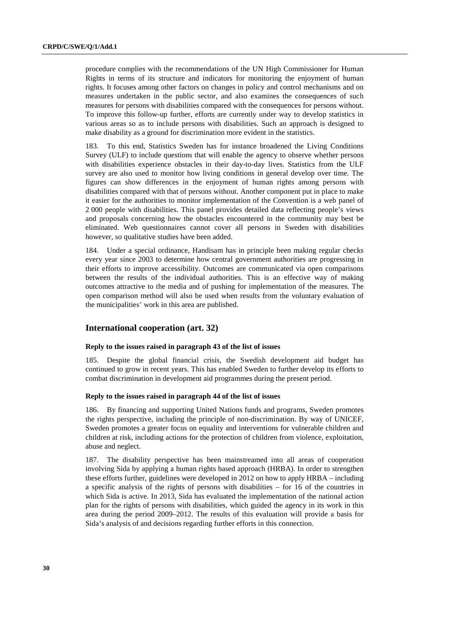procedure complies with the recommendations of the UN High Commissioner for Human Rights in terms of its structure and indicators for monitoring the enjoyment of human rights. It focuses among other factors on changes in policy and control mechanisms and on measures undertaken in the public sector, and also examines the consequences of such measures for persons with disabilities compared with the consequences for persons without. To improve this follow-up further, efforts are currently under way to develop statistics in various areas so as to include persons with disabilities. Such an approach is designed to make disability as a ground for discrimination more evident in the statistics.

183. To this end, Statistics Sweden has for instance broadened the Living Conditions Survey (ULF) to include questions that will enable the agency to observe whether persons with disabilities experience obstacles in their day-to-day lives. Statistics from the ULF survey are also used to monitor how living conditions in general develop over time. The figures can show differences in the enjoyment of human rights among persons with disabilities compared with that of persons without. Another component put in place to make it easier for the authorities to monitor implementation of the Convention is a web panel of 2 000 people with disabilities. This panel provides detailed data reflecting people's views and proposals concerning how the obstacles encountered in the community may best be eliminated. Web questionnaires cannot cover all persons in Sweden with disabilities however, so qualitative studies have been added.

184. Under a special ordinance, Handisam has in principle been making regular checks every year since 2003 to determine how central government authorities are progressing in their efforts to improve accessibility. Outcomes are communicated via open comparisons between the results of the individual authorities. This is an effective way of making outcomes attractive to the media and of pushing for implementation of the measures. The open comparison method will also be used when results from the voluntary evaluation of the municipalities' work in this area are published.

# **International cooperation (art. 32)**

### **Reply to the issues raised in paragraph 43 of the list of issues**

185. Despite the global financial crisis, the Swedish development aid budget has continued to grow in recent years. This has enabled Sweden to further develop its efforts to combat discrimination in development aid programmes during the present period.

#### **Reply to the issues raised in paragraph 44 of the list of issues**

186. By financing and supporting United Nations funds and programs, Sweden promotes the rights perspective, including the principle of non-discrimination. By way of UNICEF, Sweden promotes a greater focus on equality and interventions for vulnerable children and children at risk, including actions for the protection of children from violence, exploitation, abuse and neglect.

187. The disability perspective has been mainstreamed into all areas of cooperation involving Sida by applying a human rights based approach (HRBA). In order to strengthen these efforts further, guidelines were developed in 2012 on how to apply HRBA – including a specific analysis of the rights of persons with disabilities  $-$  for 16 of the countries in which Sida is active. In 2013, Sida has evaluated the implementation of the national action plan for the rights of persons with disabilities, which guided the agency in its work in this area during the period 2009–2012. The results of this evaluation will provide a basis for Sida's analysis of and decisions regarding further efforts in this connection.